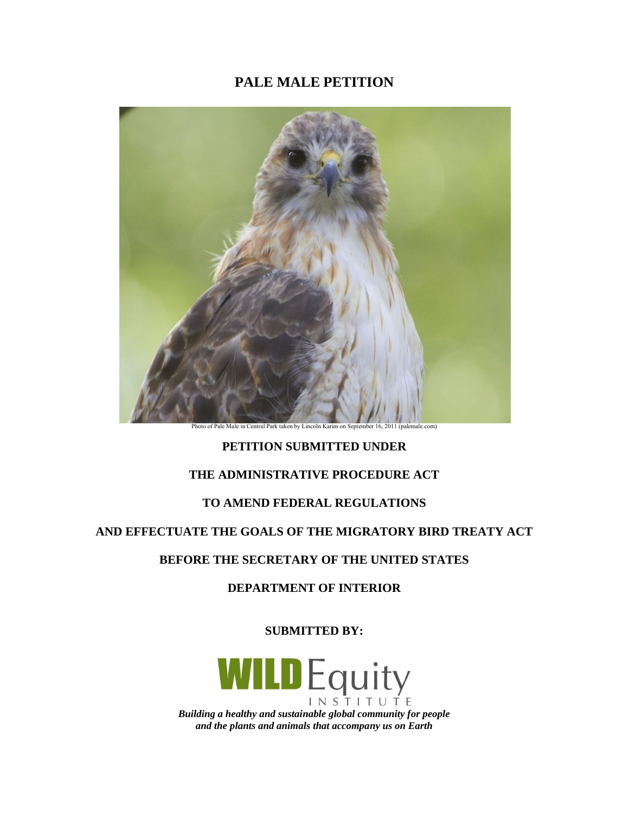# **PALE MALE PETITION**



**Photo Park taken by Lincoln Central Park taken by Lincoln** 

# **PETITION SUBMITTED UNDER**

# **THE ADMINISTRATIVE PROCEDURE ACT**

# **TO AMEND FEDERAL REGULATIONS**

### **AND EFFECTUATE THE GOALS OF THE MIGRATORY BIRD TREATY ACT**

### **BEFORE THE SECRETARY OF THE UNITED STATES**

# **DEPARTMENT OF INTERIOR**

**SUBMITTED BY:**

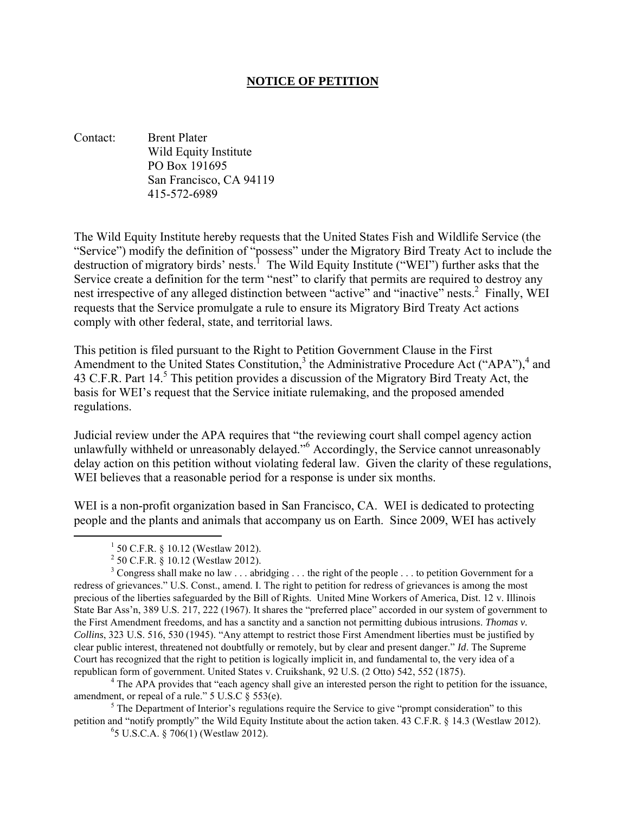### **NOTICE OF PETITION**

Contact: Brent Plater Wild Equity Institute PO Box 191695 San Francisco, CA 94119 415-572-6989

The Wild Equity Institute hereby requests that the United States Fish and Wildlife Service (the "Service") modify the definition of "possess" under the Migratory Bird Treaty Act to include the destruction of migratory birds' nests.<sup>1</sup> The Wild Equity Institute ("WEI") further asks that the Service create a definition for the term "nest" to clarify that permits are required to destroy any nest irrespective of any alleged distinction between "active" and "inactive" nests.<sup>2</sup> Finally, WEI requests that the Service promulgate a rule to ensure its Migratory Bird Treaty Act actions comply with other federal, state, and territorial laws.

This petition is filed pursuant to the Right to Petition Government Clause in the First Amendment to the United States Constitution,<sup>3</sup> the Administrative Procedure Act ("APA"),<sup>4</sup> and 43 C.F.R. Part 14.<sup>5</sup> This petition provides a discussion of the Migratory Bird Treaty Act, the basis for WEI's request that the Service initiate rulemaking, and the proposed amended regulations.

Judicial review under the APA requires that "the reviewing court shall compel agency action unlawfully withheld or unreasonably delayed."<sup>6</sup> Accordingly, the Service cannot unreasonably delay action on this petition without violating federal law. Given the clarity of these regulations, WEI believes that a reasonable period for a response is under six months.

WEI is a non-profit organization based in San Francisco, CA. WEI is dedicated to protecting people and the plants and animals that accompany us on Earth. Since 2009, WEI has actively

 $<sup>5</sup>$  The Department of Interior's regulations require the Service to give "prompt consideration" to this</sup> petition and "notify promptly" the Wild Equity Institute about the action taken. 43 C.F.R. § 14.3 (Westlaw 2012).

6 5 U.S.C.A. § 706(1) (Westlaw 2012).

 $1\,$  50 C.F.R. § 10.12 (Westlaw 2012).

 $2^{2}$  50 C.F.R. § 10.12 (Westlaw 2012).

<sup>&</sup>lt;sup>3</sup> Congress shall make no law . . . abridging . . . the right of the people . . . to petition Government for a redress of grievances." U.S. Const., amend. I. The right to petition for redress of grievances is among the most precious of the liberties safeguarded by the Bill of Rights. United Mine Workers of America, Dist. 12 v. Illinois State Bar Ass'n, 389 U.S. 217, 222 (1967). It shares the "preferred place" accorded in our system of government to the First Amendment freedoms, and has a sanctity and a sanction not permitting dubious intrusions. *Thomas v. Collins*, 323 U.S. 516, 530 (1945). "Any attempt to restrict those First Amendment liberties must be justified by clear public interest, threatened not doubtfully or remotely, but by clear and present danger." *Id*. The Supreme Court has recognized that the right to petition is logically implicit in, and fundamental to, the very idea of a republican form of government. United States v. Cruikshank, 92 U.S. (2 Otto) 542, 552 (1875). 4 The APA provides that "each agency shall give an interested person the right to petition for the issuance,

amendment, or repeal of a rule." 5 U.S.C § 553(e).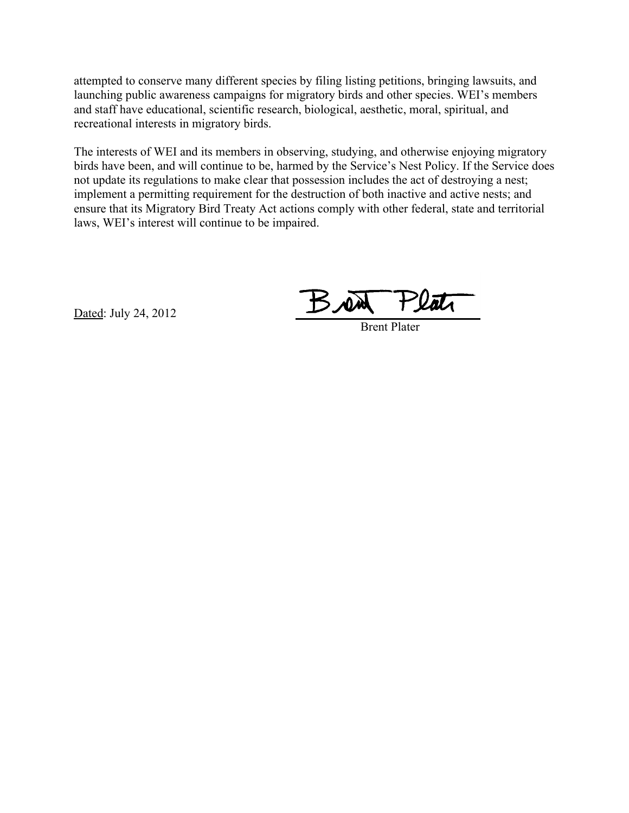attempted to conserve many different species by filing listing petitions, bringing lawsuits, and launching public awareness campaigns for migratory birds and other species. WEI's members and staff have educational, scientific research, biological, aesthetic, moral, spiritual, and recreational interests in migratory birds.

The interests of WEI and its members in observing, studying, and otherwise enjoying migratory birds have been, and will continue to be, harmed by the Service's Nest Policy. If the Service does not update its regulations to make clear that possession includes the act of destroying a nest; implement a permitting requirement for the destruction of both inactive and active nests; and ensure that its Migratory Bird Treaty Act actions comply with other federal, state and territorial laws, WEI's interest will continue to be impaired.

Dated: July 24, 2012

BN

Brent Plater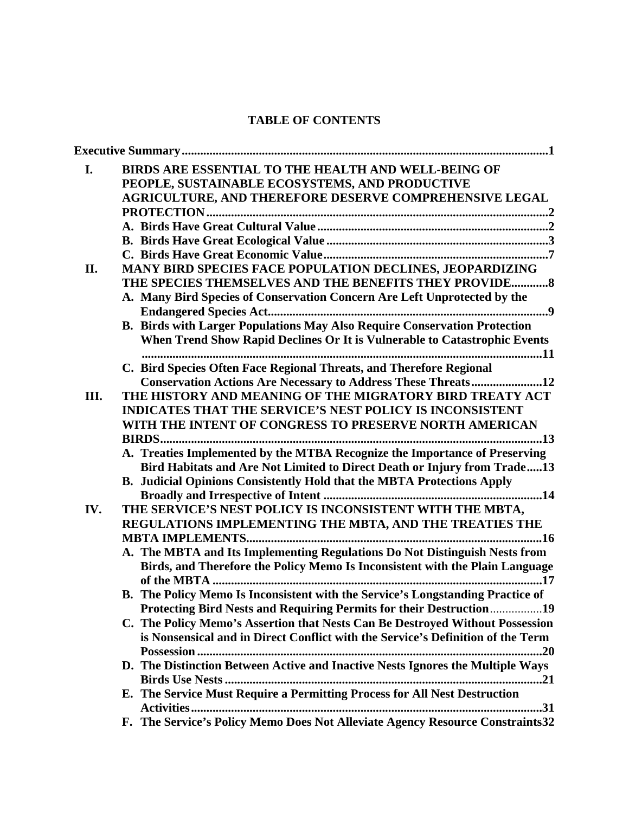# **TABLE OF CONTENTS**

| I.   | BIRDS ARE ESSENTIAL TO THE HEALTH AND WELL-BEING OF<br>PEOPLE, SUSTAINABLE ECOSYSTEMS, AND PRODUCTIVE                                                     |
|------|-----------------------------------------------------------------------------------------------------------------------------------------------------------|
|      | AGRICULTURE, AND THEREFORE DESERVE COMPREHENSIVE LEGAL                                                                                                    |
|      |                                                                                                                                                           |
|      |                                                                                                                                                           |
|      |                                                                                                                                                           |
| II.  | MANY BIRD SPECIES FACE POPULATION DECLINES, JEOPARDIZING                                                                                                  |
|      | THE SPECIES THEMSELVES AND THE BENEFITS THEY PROVIDE 8                                                                                                    |
|      | A. Many Bird Species of Conservation Concern Are Left Unprotected by the                                                                                  |
|      |                                                                                                                                                           |
|      | B. Birds with Larger Populations May Also Require Conservation Protection                                                                                 |
|      | When Trend Show Rapid Declines Or It is Vulnerable to Catastrophic Events                                                                                 |
|      | C. Bird Species Often Face Regional Threats, and Therefore Regional                                                                                       |
|      | <b>Conservation Actions Are Necessary to Address These Threats12</b>                                                                                      |
| III. | THE HISTORY AND MEANING OF THE MIGRATORY BIRD TREATY ACT                                                                                                  |
|      | <b>INDICATES THAT THE SERVICE'S NEST POLICY IS INCONSISTENT</b>                                                                                           |
|      | WITH THE INTENT OF CONGRESS TO PRESERVE NORTH AMERICAN                                                                                                    |
|      |                                                                                                                                                           |
|      | A. Treaties Implemented by the MTBA Recognize the Importance of Preserving                                                                                |
|      | Bird Habitats and Are Not Limited to Direct Death or Injury from Trade13<br><b>B.</b> Judicial Opinions Consistently Hold that the MBTA Protections Apply |
|      |                                                                                                                                                           |
| IV.  | THE SERVICE'S NEST POLICY IS INCONSISTENT WITH THE MBTA,                                                                                                  |
|      | REGULATIONS IMPLEMENTING THE MBTA, AND THE TREATIES THE                                                                                                   |
|      | A. The MBTA and Its Implementing Regulations Do Not Distinguish Nests from                                                                                |
|      | Birds, and Therefore the Policy Memo Is Inconsistent with the Plain Language                                                                              |
|      |                                                                                                                                                           |
|      | B. The Policy Memo Is Inconsistent with the Service's Longstanding Practice of                                                                            |
|      | Protecting Bird Nests and Requiring Permits for their Destruction19                                                                                       |
|      | C. The Policy Memo's Assertion that Nests Can Be Destroyed Without Possession                                                                             |
|      | is Nonsensical and in Direct Conflict with the Service's Definition of the Term                                                                           |
|      |                                                                                                                                                           |
|      | D. The Distinction Between Active and Inactive Nests Ignores the Multiple Ways                                                                            |
|      | E. The Service Must Require a Permitting Process for All Nest Destruction                                                                                 |
|      |                                                                                                                                                           |
|      | F. The Service's Policy Memo Does Not Alleviate Agency Resource Constraints32                                                                             |
|      |                                                                                                                                                           |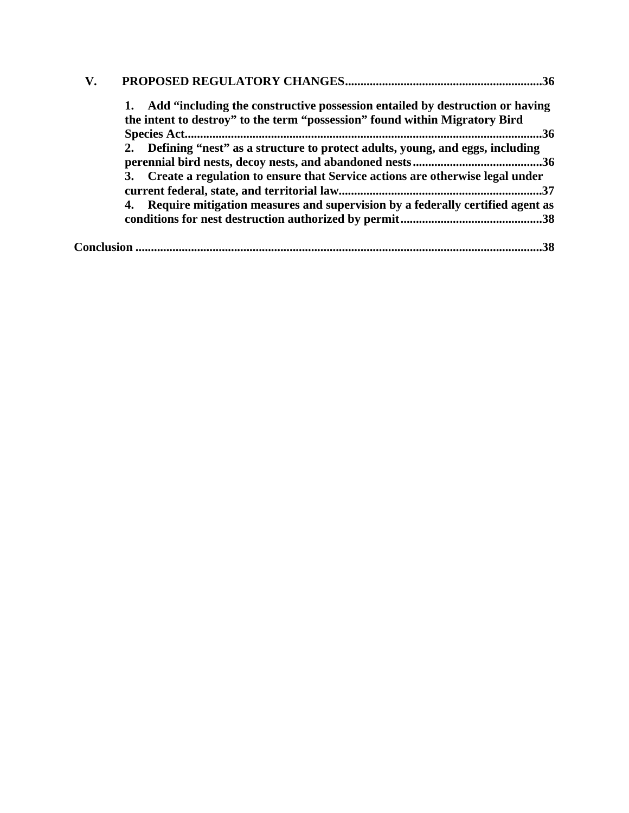| $\mathbf{V}$ . | .36                                                                                                                                                            |
|----------------|----------------------------------------------------------------------------------------------------------------------------------------------------------------|
|                | 1. Add "including the constructive possession entailed by destruction or having<br>the intent to destroy" to the term "possession" found within Migratory Bird |
|                | 36                                                                                                                                                             |
|                | 2. Defining "nest" as a structure to protect adults, young, and eggs, including                                                                                |
|                | 3. Create a regulation to ensure that Service actions are otherwise legal under                                                                                |
|                | 4. Require mitigation measures and supervision by a federally certified agent as                                                                               |
|                | 38                                                                                                                                                             |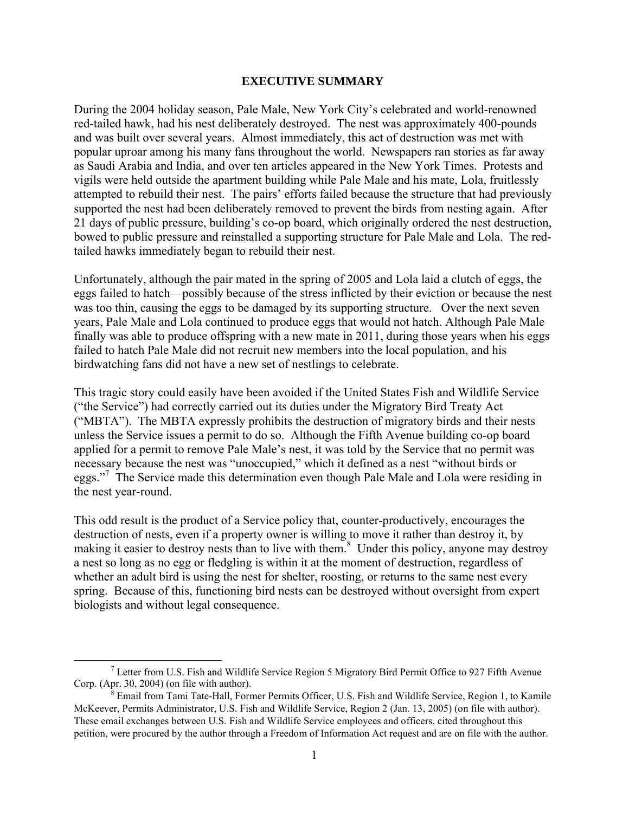#### **EXECUTIVE SUMMARY**

During the 2004 holiday season, Pale Male, New York City's celebrated and world-renowned red-tailed hawk, had his nest deliberately destroyed. The nest was approximately 400-pounds and was built over several years. Almost immediately, this act of destruction was met with popular uproar among his many fans throughout the world. Newspapers ran stories as far away as Saudi Arabia and India, and over ten articles appeared in the New York Times. Protests and vigils were held outside the apartment building while Pale Male and his mate, Lola, fruitlessly attempted to rebuild their nest. The pairs' efforts failed because the structure that had previously supported the nest had been deliberately removed to prevent the birds from nesting again. After 21 days of public pressure, building's co-op board, which originally ordered the nest destruction, bowed to public pressure and reinstalled a supporting structure for Pale Male and Lola. The redtailed hawks immediately began to rebuild their nest.

Unfortunately, although the pair mated in the spring of 2005 and Lola laid a clutch of eggs, the eggs failed to hatch—possibly because of the stress inflicted by their eviction or because the nest was too thin, causing the eggs to be damaged by its supporting structure. Over the next seven years, Pale Male and Lola continued to produce eggs that would not hatch. Although Pale Male finally was able to produce offspring with a new mate in 2011, during those years when his eggs failed to hatch Pale Male did not recruit new members into the local population, and his birdwatching fans did not have a new set of nestlings to celebrate.

This tragic story could easily have been avoided if the United States Fish and Wildlife Service ("the Service") had correctly carried out its duties under the Migratory Bird Treaty Act ("MBTA"). The MBTA expressly prohibits the destruction of migratory birds and their nests unless the Service issues a permit to do so. Although the Fifth Avenue building co-op board applied for a permit to remove Pale Male's nest, it was told by the Service that no permit was necessary because the nest was "unoccupied," which it defined as a nest "without birds or eggs."<sup>7</sup> The Service made this determination even though Pale Male and Lola were residing in the nest year-round.

This odd result is the product of a Service policy that, counter-productively, encourages the destruction of nests, even if a property owner is willing to move it rather than destroy it, by making it easier to destroy nests than to live with them.<sup>8</sup> Under this policy, anyone may destroy a nest so long as no egg or fledgling is within it at the moment of destruction, regardless of whether an adult bird is using the nest for shelter, roosting, or returns to the same nest every spring. Because of this, functioning bird nests can be destroyed without oversight from expert biologists and without legal consequence.

 <sup>7</sup> Letter from U.S. Fish and Wildlife Service Region 5 Migratory Bird Permit Office to 927 Fifth Avenue Corp. (Apr. 30, 2004) (on file with author).

 $8$  Email from Tami Tate-Hall, Former Permits Officer, U.S. Fish and Wildlife Service, Region 1, to Kamile McKeever, Permits Administrator, U.S. Fish and Wildlife Service, Region 2 (Jan. 13, 2005) (on file with author). These email exchanges between U.S. Fish and Wildlife Service employees and officers, cited throughout this petition, were procured by the author through a Freedom of Information Act request and are on file with the author.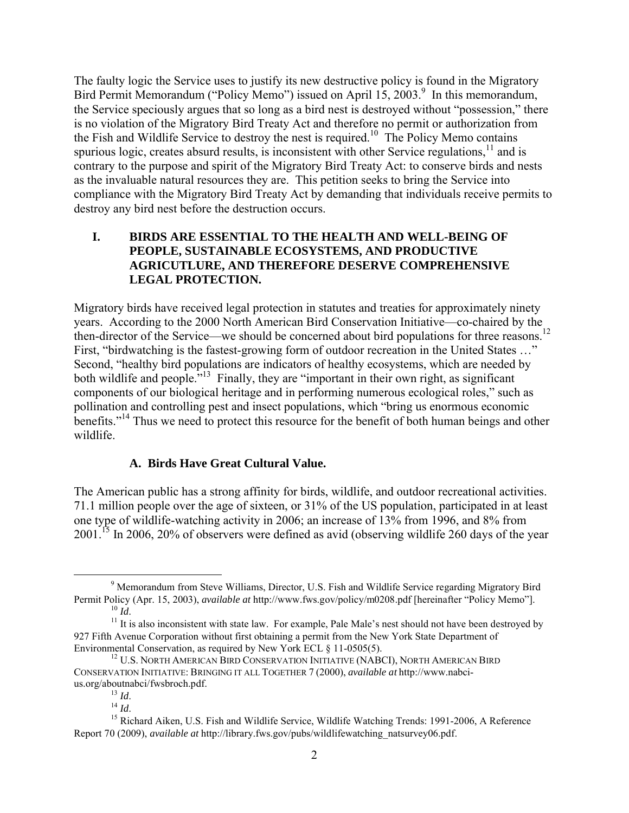The faulty logic the Service uses to justify its new destructive policy is found in the Migratory Bird Permit Memorandum ("Policy Memo") issued on April 15, 2003.<sup>9</sup> In this memorandum, the Service speciously argues that so long as a bird nest is destroyed without "possession," there is no violation of the Migratory Bird Treaty Act and therefore no permit or authorization from the Fish and Wildlife Service to destroy the nest is required.<sup>10</sup> The Policy Memo contains spurious logic, creates absurd results, is inconsistent with other Service regulations,  $\frac{11}{1}$  and is contrary to the purpose and spirit of the Migratory Bird Treaty Act: to conserve birds and nests as the invaluable natural resources they are. This petition seeks to bring the Service into compliance with the Migratory Bird Treaty Act by demanding that individuals receive permits to destroy any bird nest before the destruction occurs.

### **I. BIRDS ARE ESSENTIAL TO THE HEALTH AND WELL-BEING OF PEOPLE, SUSTAINABLE ECOSYSTEMS, AND PRODUCTIVE AGRICUTLURE, AND THEREFORE DESERVE COMPREHENSIVE LEGAL PROTECTION.**

Migratory birds have received legal protection in statutes and treaties for approximately ninety years. According to the 2000 North American Bird Conservation Initiative—co-chaired by the then-director of the Service—we should be concerned about bird populations for three reasons.<sup>12</sup> First, "birdwatching is the fastest-growing form of outdoor recreation in the United States …" Second, "healthy bird populations are indicators of healthy ecosystems, which are needed by both wildlife and people."<sup>13</sup> Finally, they are "important in their own right, as significant components of our biological heritage and in performing numerous ecological roles," such as pollination and controlling pest and insect populations, which "bring us enormous economic benefits."<sup>14</sup> Thus we need to protect this resource for the benefit of both human beings and other wildlife.

# **A. Birds Have Great Cultural Value.**

The American public has a strong affinity for birds, wildlife, and outdoor recreational activities. 71.1 million people over the age of sixteen, or 31% of the US population, participated in at least one type of wildlife-watching activity in 2006; an increase of 13% from 1996, and 8% from 2001.15 In 2006, 20% of observers were defined as avid (observing wildlife 260 days of the year

 <sup>9</sup> Memorandum from Steve Williams, Director, U.S. Fish and Wildlife Service regarding Migratory Bird Permit Policy (Apr. 15, 2003), *available at* http://www.fws.gov/policy/m0208.pdf [hereinafter "Policy Memo"].

<sup>&</sup>lt;sup>11</sup> It is also inconsistent with state law. For example, Pale Male's nest should not have been destroyed by 927 Fifth Avenue Corporation without first obtaining a permit from the New York State Department of Environmental Conservation, as required by New York ECL § 11-0505(5).

<sup>&</sup>lt;sup>12</sup> U.S. NORTH AMERICAN BIRD CONSERVATION INITIATIVE (NABCI), NORTH AMERICAN BIRD CONSERVATION INITIATIVE: BRINGING IT ALL TOGETHER 7 (2000), *available at* http://www.nabcius.org/aboutnabci/fwsbroch.pdf.

 $\frac{^{13}}{^{14}}$  *Id.* 

<sup>&</sup>lt;sup>15</sup> Richard Aiken, U.S. Fish and Wildlife Service, Wildlife Watching Trends: 1991-2006, A Reference Report 70 (2009), *available at* http://library.fws.gov/pubs/wildlifewatching\_natsurvey06.pdf.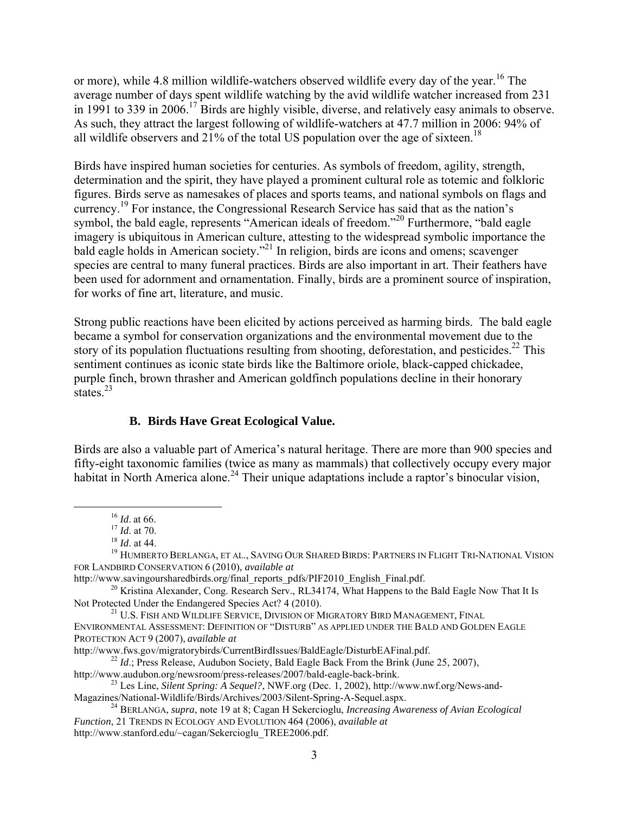or more), while 4.8 million wildlife-watchers observed wildlife every day of the year.<sup>16</sup> The average number of days spent wildlife watching by the avid wildlife watcher increased from 231 in 1991 to 339 in 2006.<sup>17</sup> Birds are highly visible, diverse, and relatively easy animals to observe. As such, they attract the largest following of wildlife-watchers at 47.7 million in 2006: 94% of all wildlife observers and 21% of the total US population over the age of sixteen.<sup>18</sup>

Birds have inspired human societies for centuries. As symbols of freedom, agility, strength, determination and the spirit, they have played a prominent cultural role as totemic and folkloric figures. Birds serve as namesakes of places and sports teams, and national symbols on flags and currency.<sup>19</sup> For instance, the Congressional Research Service has said that as the nation's symbol, the bald eagle, represents "American ideals of freedom."<sup>20</sup> Furthermore, "bald eagle imagery is ubiquitous in American culture, attesting to the widespread symbolic importance the bald eagle holds in American society."21 In religion, birds are icons and omens; scavenger species are central to many funeral practices. Birds are also important in art. Their feathers have been used for adornment and ornamentation. Finally, birds are a prominent source of inspiration, for works of fine art, literature, and music.

Strong public reactions have been elicited by actions perceived as harming birds. The bald eagle became a symbol for conservation organizations and the environmental movement due to the story of its population fluctuations resulting from shooting, deforestation, and pesticides.<sup>22</sup> This sentiment continues as iconic state birds like the Baltimore oriole, black-capped chickadee, purple finch, brown thrasher and American goldfinch populations decline in their honorary states $^{23}$ 

# **B. Birds Have Great Ecological Value.**

Birds are also a valuable part of America's natural heritage. There are more than 900 species and fifty-eight taxonomic families (twice as many as mammals) that collectively occupy every major habitat in North America alone.<sup>24</sup> Their unique adaptations include a raptor's binocular vision,

 <sup>16</sup> *Id*. at 66.

 $^{17}$  *Id.* at 70.

<sup>18</sup> *Id*. at 44.

<sup>&</sup>lt;sup>19</sup> HUMBERTO BERLANGA, ET AL., SAVING OUR SHARED BIRDS: PARTNERS IN FLIGHT TRI-NATIONAL VISION FOR LANDBIRD CONSERVATION 6 (2010), *available at* 

http://www.savingoursharedbirds.org/final\_reports\_pdfs/PIF2010\_English\_Final.pdf.

<sup>&</sup>lt;sup>20</sup> Kristina Alexander, Cong. Research Serv., RL34174, What Happens to the Bald Eagle Now That It Is<br>Not Protected Under the Endangered Species Act? 4 (2010).

<sup>&</sup>lt;sup>21</sup> U.S. FISH AND WILDLIFE SERVICE, DIVISION OF MIGRATORY BIRD MANAGEMENT, FINAL ENVIRONMENTAL ASSESSMENT: DEFINITION OF "DISTURB" AS APPLIED UNDER THE BALD AND GOLDEN EAGLE PROTECTION ACT 9 (2007), *available at* <br>http://www.fws.gov/migratorybirds/CurrentBirdIssues/BaldEagle/DisturbEAFinal.pdf.

<sup>&</sup>lt;sup>22</sup> *Id.*; Press Release, Audubon Society, Bald Eagle Back From the Brink (June 25, 2007),

http://www.audubon.org/newsroom/press-releases/2007/bald-eagle-back-brink.

<sup>&</sup>lt;sup>23</sup> Les Line, *Silent Spring: A Sequel?*, NWF.org (Dec. 1, 2002), http://www.nwf.org/News-and-Magazines/National-Wildlife/Birds/Archives/2003/Silent-Spring-A-Sequel.aspx.

<sup>&</sup>lt;sup>24</sup> BERLANGA, *supra*, note 19 at 8; Cagan H Sekercioglu, *Increasing Awareness of Avian Ecological Function*, 21 TRENDS IN ECOLOGY AND EVOLUTION 464 (2006), *available at*  http://www.stanford.edu/~cagan/Sekercioglu\_TREE2006.pdf.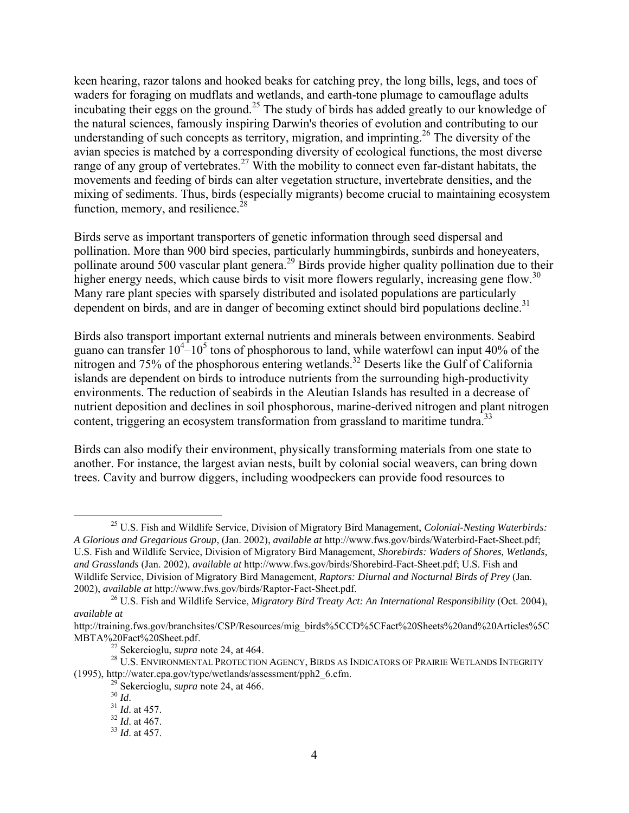keen hearing, razor talons and hooked beaks for catching prey, the long bills, legs, and toes of waders for foraging on mudflats and wetlands, and earth-tone plumage to camouflage adults incubating their eggs on the ground.<sup>25</sup> The study of birds has added greatly to our knowledge of the natural sciences, famously inspiring Darwin's theories of evolution and contributing to our understanding of such concepts as territory, migration, and imprinting.<sup>26</sup> The diversity of the avian species is matched by a corresponding diversity of ecological functions, the most diverse range of any group of vertebrates.<sup>27</sup> With the mobility to connect even far-distant habitats, the movements and feeding of birds can alter vegetation structure, invertebrate densities, and the mixing of sediments. Thus, birds (especially migrants) become crucial to maintaining ecosystem function, memory, and resilience. $^{28}$ 

Birds serve as important transporters of genetic information through seed dispersal and pollination. More than 900 bird species, particularly hummingbirds, sunbirds and honeyeaters, pollinate around 500 vascular plant genera.<sup>29</sup> Birds provide higher quality pollination due to their higher energy needs, which cause birds to visit more flowers regularly, increasing gene flow.<sup>30</sup> Many rare plant species with sparsely distributed and isolated populations are particularly dependent on birds, and are in danger of becoming extinct should bird populations decline.<sup>31</sup>

Birds also transport important external nutrients and minerals between environments. Seabird guano can transfer  $10^4 - 10^5$  tons of phosphorous to land, while waterfowl can input 40% of the nitrogen and 75% of the phosphorous entering wetlands.<sup>32</sup> Deserts like the Gulf of California islands are dependent on birds to introduce nutrients from the surrounding high-productivity environments. The reduction of seabirds in the Aleutian Islands has resulted in a decrease of nutrient deposition and declines in soil phosphorous, marine-derived nitrogen and plant nitrogen content, triggering an ecosystem transformation from grassland to maritime tundra.<sup>33</sup>

Birds can also modify their environment, physically transforming materials from one state to another. For instance, the largest avian nests, built by colonial social weavers, can bring down trees. Cavity and burrow diggers, including woodpeckers can provide food resources to

 <sup>25</sup> U.S. Fish and Wildlife Service, Division of Migratory Bird Management, *Colonial-Nesting Waterbirds: A Glorious and Gregarious Group*, (Jan. 2002), *available at* http://www.fws.gov/birds/Waterbird-Fact-Sheet.pdf; U.S. Fish and Wildlife Service, Division of Migratory Bird Management, *Shorebirds: Waders of Shores, Wetlands, and Grasslands* (Jan. 2002), *available at* http://www.fws.gov/birds/Shorebird-Fact-Sheet.pdf; U.S. Fish and Wildlife Service, Division of Migratory Bird Management, *Raptors: Diurnal and Nocturnal Birds of Prey* (Jan. 2002), *available at* http://www.fws.gov/birds/Raptor-Fact-Sheet.pdf.

<sup>26</sup> U.S. Fish and Wildlife Service, *Migratory Bird Treaty Act: An International Responsibility* (Oct. 2004), *available at* 

http://training.fws.gov/branchsites/CSP/Resources/mig\_birds%5CCD%5CFact%20Sheets%20and%20Articles%5C MBTA%20Fact%20Sheet.pdf.

<sup>27</sup> Sekercioglu, *supra* note 24, at 464.

<sup>28</sup> U.S. ENVIRONMENTAL PROTECTION AGENCY, BIRDS AS INDICATORS OF PRAIRIE WETLANDS INTEGRITY (1995), http://water.epa.gov/type/wetlands/assessment/pph2\_6.cfm.

<sup>&</sup>lt;sup>29</sup> Sekercioglu, *supra* note 24, at 466.<br><sup>30</sup> *Id*.

<sup>30</sup> *Id*. <sup>31</sup> *Id*. at 457.

<sup>32</sup> *Id*. at 467.

<sup>33</sup> *Id*. at 457.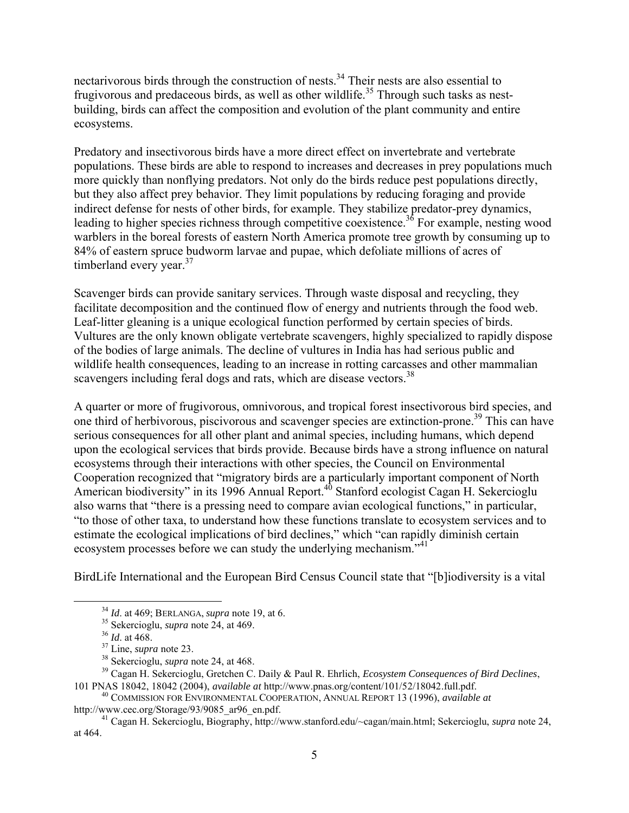nectarivorous birds through the construction of nests.34 Their nests are also essential to frugivorous and predaceous birds, as well as other wildlife.<sup>35</sup> Through such tasks as nestbuilding, birds can affect the composition and evolution of the plant community and entire ecosystems.

Predatory and insectivorous birds have a more direct effect on invertebrate and vertebrate populations. These birds are able to respond to increases and decreases in prey populations much more quickly than nonflying predators. Not only do the birds reduce pest populations directly, but they also affect prey behavior. They limit populations by reducing foraging and provide indirect defense for nests of other birds, for example. They stabilize predator-prey dynamics, leading to higher species richness through competitive coexistence.<sup>36</sup> For example, nesting wood warblers in the boreal forests of eastern North America promote tree growth by consuming up to 84% of eastern spruce budworm larvae and pupae, which defoliate millions of acres of timberland every year. $37$ 

Scavenger birds can provide sanitary services. Through waste disposal and recycling, they facilitate decomposition and the continued flow of energy and nutrients through the food web. Leaf-litter gleaning is a unique ecological function performed by certain species of birds. Vultures are the only known obligate vertebrate scavengers, highly specialized to rapidly dispose of the bodies of large animals. The decline of vultures in India has had serious public and wildlife health consequences, leading to an increase in rotting carcasses and other mammalian scavengers including feral dogs and rats, which are disease vectors.<sup>38</sup>

A quarter or more of frugivorous, omnivorous, and tropical forest insectivorous bird species, and one third of herbivorous, piscivorous and scavenger species are extinction-prone.39 This can have serious consequences for all other plant and animal species, including humans, which depend upon the ecological services that birds provide. Because birds have a strong influence on natural ecosystems through their interactions with other species, the Council on Environmental Cooperation recognized that "migratory birds are a particularly important component of North American biodiversity" in its 1996 Annual Report.<sup>40</sup> Stanford ecologist Cagan H. Sekercioglu also warns that "there is a pressing need to compare avian ecological functions," in particular, "to those of other taxa, to understand how these functions translate to ecosystem services and to estimate the ecological implications of bird declines," which "can rapidly diminish certain ecosystem processes before we can study the underlying mechanism.<sup>"41</sup>

BirdLife International and the European Bird Census Council state that "[b]iodiversity is a vital

 <sup>34</sup> *Id*. at 469; BERLANGA, *supra* note 19, at 6.

<sup>35</sup> Sekercioglu, *supra* note 24, at 469.

<sup>36</sup> *Id*. at 468.

<sup>37</sup> Line, *supra* note 23.

<sup>38</sup> Sekercioglu, *supra* note 24, at 468.

<sup>39</sup> Cagan H. Sekercioglu, Gretchen C. Daily & Paul R. Ehrlich, *Ecosystem Consequences of Bird Declines*, 101 PNAS 18042, 18042 (2004), *available at* http://www.pnas.org/content/101/52/18042.full.pdf.

<sup>40</sup> COMMISSION FOR ENVIRONMENTAL COOPERATION, ANNUAL REPORT 13 (1996), *available at*  http://www.cec.org/Storage/93/9085\_ar96\_en.pdf. <sup>41</sup> Cagan H. Sekercioglu, Biography, http://www.stanford.edu/~cagan/main.html; Sekercioglu, *supra* note 24,

at 464.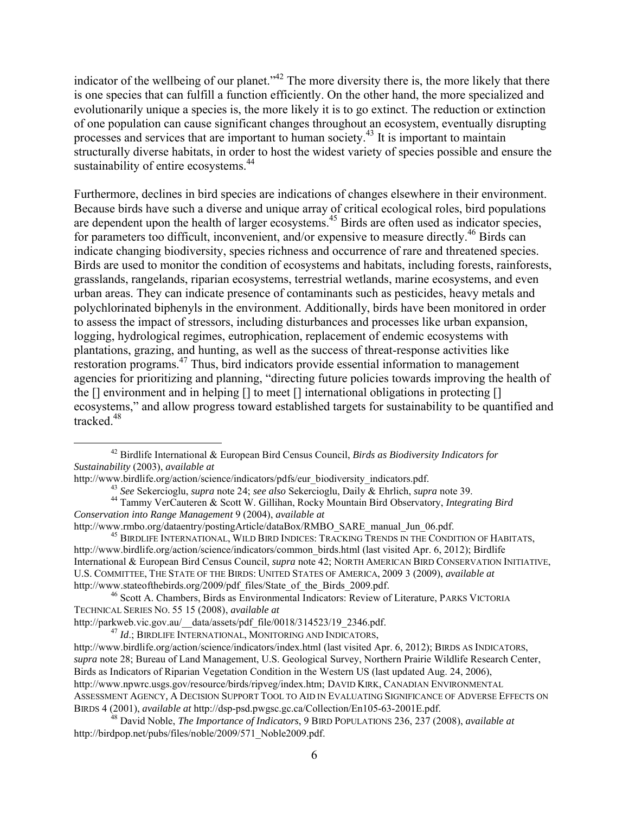indicator of the wellbeing of our planet."<sup>42</sup> The more diversity there is, the more likely that there is one species that can fulfill a function efficiently. On the other hand, the more specialized and evolutionarily unique a species is, the more likely it is to go extinct. The reduction or extinction of one population can cause significant changes throughout an ecosystem, eventually disrupting processes and services that are important to human society.43 It is important to maintain structurally diverse habitats, in order to host the widest variety of species possible and ensure the sustainability of entire ecosystems.<sup>44</sup>

Furthermore, declines in bird species are indications of changes elsewhere in their environment. Because birds have such a diverse and unique array of critical ecological roles, bird populations are dependent upon the health of larger ecosystems.<sup>45</sup> Birds are often used as indicator species, for parameters too difficult, inconvenient, and/or expensive to measure directly.<sup>46</sup> Birds can indicate changing biodiversity, species richness and occurrence of rare and threatened species. Birds are used to monitor the condition of ecosystems and habitats, including forests, rainforests, grasslands, rangelands, riparian ecosystems, terrestrial wetlands, marine ecosystems, and even urban areas. They can indicate presence of contaminants such as pesticides, heavy metals and polychlorinated biphenyls in the environment. Additionally, birds have been monitored in order to assess the impact of stressors, including disturbances and processes like urban expansion, logging, hydrological regimes, eutrophication, replacement of endemic ecosystems with plantations, grazing, and hunting, as well as the success of threat-response activities like restoration programs.<sup>47</sup> Thus, bird indicators provide essential information to management agencies for prioritizing and planning, "directing future policies towards improving the health of the [] environment and in helping [] to meet [] international obligations in protecting [] ecosystems," and allow progress toward established targets for sustainability to be quantified and tracked.48

<sup>46</sup> Scott A. Chambers, Birds as Environmental Indicators: Review of Literature, PARKS VICTORIA TECHNICAL SERIES NO. 55 15 (2008), *available at* 

http://parkweb.vic.gov.au/\_\_data/assets/pdf\_file/0018/314523/19\_2346.pdf.

<sup>47</sup> *Id*.; BIRDLIFE INTERNATIONAL, MONITORING AND INDICATORS,

 <sup>42</sup> Birdlife International & European Bird Census Council, *Birds as Biodiversity Indicators for Sustainability* (2003), *available at* 

http://www.birdlife.org/action/science/indicators/pdfs/eur\_biodiversity\_indicators.pdf.<br><sup>43</sup> See Sekercioglu, *supra* note 24; *see also* Sekercioglu, Daily & Ehrlich, *supra* note 39.

<sup>&</sup>lt;sup>44</sup> Tammy VerCauteren & Scott W. Gillihan, Rocky Mountain Bird Observatory, *Integrating Bird Conservation into Range Management* 9 (2004), *available at* 

http://www.rmbo.org/dataentry/postingArticle/dataBox/RMBO\_SARE\_manual\_Jun\_06.pdf.

 $^{45}$  BIRDLIFE INTERNATIONAL, WILD BIRD INDICES: TRACKING TRENDS IN THE CONDITION OF HABITATS, http://www.birdlife.org/action/science/indicators/common\_birds.html (last visited Apr. 6, 2012); Birdlife International & European Bird Census Council, *supra* note 42; NORTH AMERICAN BIRD CONSERVATION INITIATIVE, U.S. COMMITTEE, THE STATE OF THE BIRDS: UNITED STATES OF AMERICA, 2009 3 (2009), *available at* http://www.stateofthebirds.org/2009/pdf\_files/State\_of\_the\_Birds\_2009.pdf.

http://www.birdlife.org/action/science/indicators/index.html (last visited Apr. 6, 2012); BIRDS AS INDICATORS, *supra* note 28; Bureau of Land Management, U.S. Geological Survey, Northern Prairie Wildlife Research Center, Birds as Indicators of Riparian Vegetation Condition in the Western US (last updated Aug. 24, 2006), http://www.npwrc.usgs.gov/resource/birds/ripveg/index.htm; DAVID KIRK, CANADIAN ENVIRONMENTAL ASSESSMENT AGENCY*,* A DECISION SUPPORT TOOL TO AID IN EVALUATING SIGNIFICANCE OF ADVERSE EFFECTS ON BIRDS 4 (2001), *available at* http://dsp-psd.pwgsc.gc.ca/Collection/En105-63-2001E.pdf.

<sup>48</sup> David Noble, *The Importance of Indicators*, 9 BIRD POPULATIONS 236, 237 (2008), *available at*  http://birdpop.net/pubs/files/noble/2009/571\_Noble2009.pdf.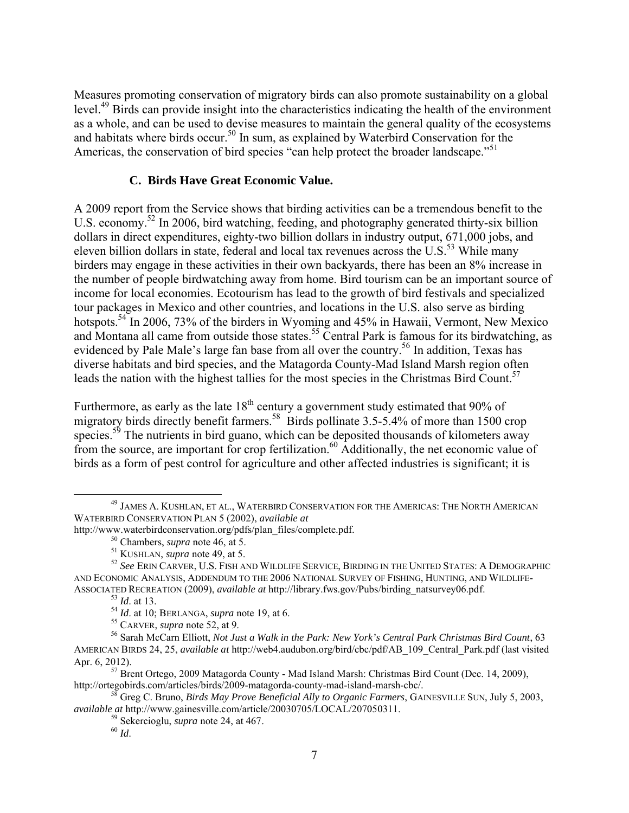Measures promoting conservation of migratory birds can also promote sustainability on a global level.49 Birds can provide insight into the characteristics indicating the health of the environment as a whole, and can be used to devise measures to maintain the general quality of the ecosystems and habitats where birds occur.<sup>50</sup> In sum, as explained by Waterbird Conservation for the Americas, the conservation of bird species "can help protect the broader landscape."<sup>51</sup>

### **C. Birds Have Great Economic Value.**

A 2009 report from the Service shows that birding activities can be a tremendous benefit to the U.S. economy.<sup>52</sup> In 2006, bird watching, feeding, and photography generated thirty-six billion dollars in direct expenditures, eighty-two billion dollars in industry output, 671,000 jobs, and eleven billion dollars in state, federal and local tax revenues across the  $U.S.<sup>53</sup>$  While many birders may engage in these activities in their own backyards, there has been an 8% increase in the number of people birdwatching away from home. Bird tourism can be an important source of income for local economies. Ecotourism has lead to the growth of bird festivals and specialized tour packages in Mexico and other countries, and locations in the U.S. also serve as birding hotspots.<sup>54</sup> In 2006, 73% of the birders in Wyoming and 45% in Hawaii, Vermont, New Mexico and Montana all came from outside those states.<sup>55</sup> Central Park is famous for its birdwatching, as evidenced by Pale Male's large fan base from all over the country.<sup>56</sup> In addition, Texas has diverse habitats and bird species, and the Matagorda County-Mad Island Marsh region often leads the nation with the highest tallies for the most species in the Christmas Bird Count.<sup>57</sup>

Furthermore, as early as the late  $18<sup>th</sup>$  century a government study estimated that 90% of migratory birds directly benefit farmers.<sup>58</sup> Birds pollinate 3.5-5.4% of more than 1500 crop species.<sup>59</sup> The nutrients in bird guano, which can be deposited thousands of kilometers away from the source, are important for crop fertilization.<sup>60</sup> Additionally, the net economic value of birds as a form of pest control for agriculture and other affected industries is significant; it is

 <sup>49</sup> JAMES A. KUSHLAN, ET AL., WATERBIRD CONSERVATION FOR THE AMERICAS: THE NORTH AMERICAN WATERBIRD CONSERVATION PLAN 5 (2002), *available at* 

http://www.waterbirdconservation.org/pdfs/plan\_files/complete.pdf.

<sup>50</sup> Chambers, *supra* note 46, at 5.

<sup>51</sup> KUSHLAN, *supra* note 49, at 5.

<sup>52</sup> *See* ERIN CARVER, U.S. FISH AND WILDLIFE SERVICE, BIRDING IN THE UNITED STATES: A DEMOGRAPHIC AND ECONOMIC ANALYSIS, ADDENDUM TO THE 2006 NATIONAL SURVEY OF FISHING, HUNTING, AND WILDLIFE-ASSOCIATED RECREATION (2009), *available at* http://library.fws.gov/Pubs/birding\_natsurvey06.pdf.

<sup>53</sup> *Id*. at 13.

<sup>54</sup> *Id*. at 10; BERLANGA, *supra* note 19, at 6. 55 CARVER, *supra* note 52, at 9.

<sup>56</sup> Sarah McCarn Elliott, *Not Just a Walk in the Park: New York's Central Park Christmas Bird Count*, 63 AMERICAN BIRDS 24, 25, *available at* http://web4.audubon.org/bird/cbc/pdf/AB\_109\_Central\_Park.pdf (last visited Apr. 6, 2012).

<sup>&</sup>lt;sup>57</sup> Brent Ortego, 2009 Matagorda County - Mad Island Marsh: Christmas Bird Count (Dec. 14, 2009), http://ortegobirds.com/articles/birds/2009-matagorda-county-mad-island-marsh-cbc/.

<sup>58</sup> Greg C. Bruno, *Birds May Prove Beneficial Ally to Organic Farmers*, GAINESVILLE SUN, July 5, 2003, *available at* http://www.gainesville.com/article/20030705/LOCAL/207050311.

<sup>59</sup> Sekercioglu, *supra* note 24, at 467.

<sup>60</sup> *Id*.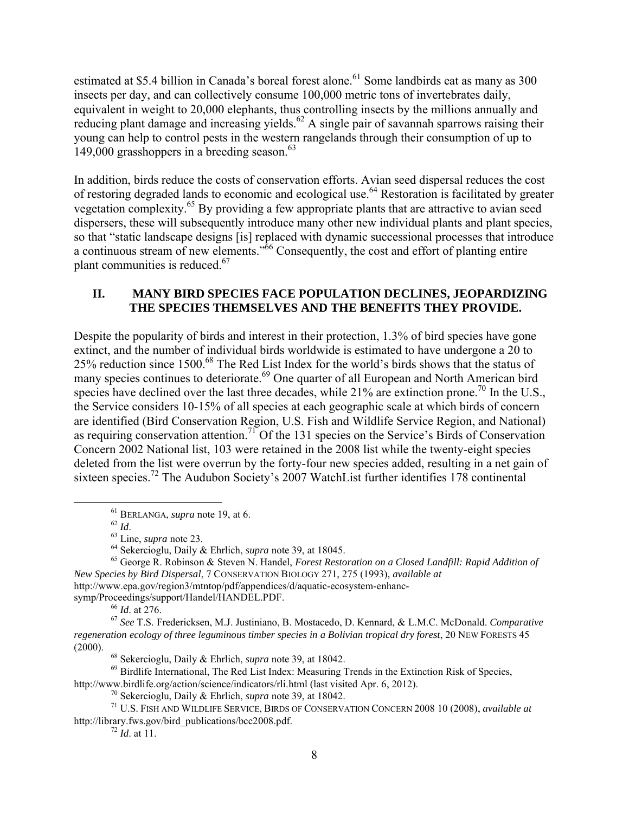estimated at \$5.4 billion in Canada's boreal forest alone.<sup>61</sup> Some landbirds eat as many as 300 insects per day, and can collectively consume 100,000 metric tons of invertebrates daily, equivalent in weight to 20,000 elephants, thus controlling insects by the millions annually and reducing plant damage and increasing yields.<sup>62</sup> A single pair of savannah sparrows raising their young can help to control pests in the western rangelands through their consumption of up to 149,000 grasshoppers in a breeding season. $63$ 

In addition, birds reduce the costs of conservation efforts. Avian seed dispersal reduces the cost of restoring degraded lands to economic and ecological use.<sup>64</sup> Restoration is facilitated by greater vegetation complexity.65 By providing a few appropriate plants that are attractive to avian seed dispersers, these will subsequently introduce many other new individual plants and plant species, so that "static landscape designs [is] replaced with dynamic successional processes that introduce a continuous stream of new elements."66 Consequently, the cost and effort of planting entire plant communities is reduced.<sup>67</sup>

### **II. MANY BIRD SPECIES FACE POPULATION DECLINES, JEOPARDIZING THE SPECIES THEMSELVES AND THE BENEFITS THEY PROVIDE.**

Despite the popularity of birds and interest in their protection, 1.3% of bird species have gone extinct, and the number of individual birds worldwide is estimated to have undergone a 20 to 25% reduction since 1500.<sup>68</sup> The Red List Index for the world's birds shows that the status of many species continues to deteriorate.<sup>69</sup> One quarter of all European and North American bird species have declined over the last three decades, while  $21\%$  are extinction prone.<sup>70</sup> In the U.S., the Service considers 10-15% of all species at each geographic scale at which birds of concern are identified (Bird Conservation Region, U.S. Fish and Wildlife Service Region, and National) as requiring conservation attention.<sup>71</sup> Of the 131 species on the Service's Birds of Conservation Concern 2002 National list, 103 were retained in the 2008 list while the twenty-eight species deleted from the list were overrun by the forty-four new species added, resulting in a net gain of sixteen species.<sup>72</sup> The Audubon Society's 2007 WatchList further identifies 178 continental

<sup>66</sup> *Id*. at 276.

<sup>&</sup>lt;sup>61</sup> BERLANGA, *supra* note 19, at 6.<br><sup>62</sup>  $H$ 

<sup>62</sup> *Id*. 63 Line, *supra* note 23.

<sup>64</sup> Sekercioglu, Daily & Ehrlich, *supra* note 39, at 18045.

<sup>65</sup> George R. Robinson & Steven N. Handel, *Forest Restoration on a Closed Landfill: Rapid Addition of New Species by Bird Dispersal*, 7 CONSERVATION BIOLOGY 271, 275 (1993), *available at*  http://www.epa.gov/region3/mtntop/pdf/appendices/d/aquatic-ecosystem-enhancsymp/Proceedings/support/Handel/HANDEL.PDF.

<sup>67</sup> *See* T.S. Fredericksen, M.J. Justiniano, B. Mostacedo, D. Kennard, & L.M.C. McDonald. *Comparative regeneration ecology of three leguminous timber species in a Bolivian tropical dry forest*, 20 NEW FORESTS 45 (2000).

<sup>68</sup> Sekercioglu, Daily & Ehrlich, *supra* note 39, at 18042.

 $^{69}$  Birdlife International, The Red List Index: Measuring Trends in the Extinction Risk of Species, http://www.birdlife.org/action/science/indicators/rli.html (last visited Apr. 6, 2012).

<sup>70</sup> Sekercioglu, Daily & Ehrlich, *supra* note 39, at 18042.

<sup>71</sup> U.S. FISH AND WILDLIFE SERVICE, BIRDS OF CONSERVATION CONCERN 2008 10 (2008), *available at*  http://library.fws.gov/bird\_publications/bcc2008.pdf.

 $^{72}$  *Id.* at 11.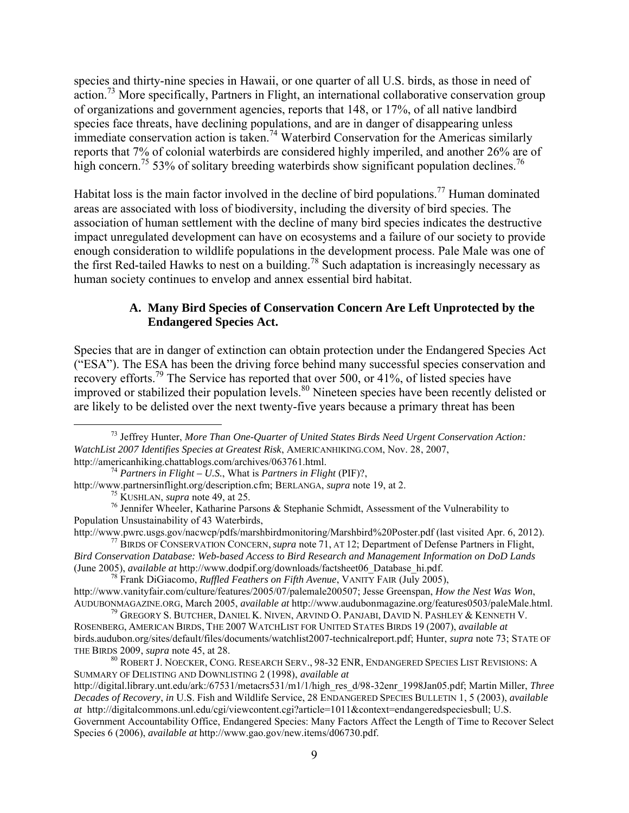species and thirty-nine species in Hawaii, or one quarter of all U.S. birds, as those in need of action.<sup>73</sup> More specifically, Partners in Flight, an international collaborative conservation group of organizations and government agencies, reports that 148, or 17%, of all native landbird species face threats, have declining populations, and are in danger of disappearing unless immediate conservation action is taken.<sup>74</sup> Waterbird Conservation for the Americas similarly reports that 7% of colonial waterbirds are considered highly imperiled, and another 26% are of high concern.<sup>75</sup> 53% of solitary breeding waterbirds show significant population declines.<sup>76</sup>

Habitat loss is the main factor involved in the decline of bird populations.<sup>77</sup> Human dominated areas are associated with loss of biodiversity, including the diversity of bird species. The association of human settlement with the decline of many bird species indicates the destructive impact unregulated development can have on ecosystems and a failure of our society to provide enough consideration to wildlife populations in the development process. Pale Male was one of the first Red-tailed Hawks to nest on a building.<sup>78</sup> Such adaptation is increasingly necessary as human society continues to envelop and annex essential bird habitat.

### **A. Many Bird Species of Conservation Concern Are Left Unprotected by the Endangered Species Act.**

Species that are in danger of extinction can obtain protection under the Endangered Species Act ("ESA"). The ESA has been the driving force behind many successful species conservation and recovery efforts.<sup>79</sup> The Service has reported that over 500, or 41%, of listed species have improved or stabilized their population levels.<sup>80</sup> Nineteen species have been recently delisted or are likely to be delisted over the next twenty-five years because a primary threat has been

Population Unsustainability of 43 Waterbirds,<br>http://www.pwrc.usgs.gov/nacwcp/pdfs/marshbirdmonitoring/Marshbird%20Poster.pdf (last visited Apr. 6, 2012). <sup>77</sup> BIRDS OF CONSERVATION CONCERN, *supra* note 71, AT 12; Department of Defense Partners in Flight,

 <sup>73</sup> Jeffrey Hunter, *More Than One-Quarter of United States Birds Need Urgent Conservation Action: WatchList 2007 Identifies Species at Greatest Risk*, AMERICANHIKING.COM, Nov. 28, 2007, http://americanhiking.chattablogs.com/archives/063761.html.

<sup>74</sup> *Partners in Flight – U.S.*, What is *Partners in Flight* (PIF)?,

http://www.partnersinflight.org/description.cfm; BERLANGA, *supra* note 19, at 2. 75 KUSHLAN, *supra* note 49, at 25.

 $76$  Jennifer Wheeler, Katharine Parsons & Stephanie Schmidt, Assessment of the Vulnerability to

*Bird Conservation Database: Web-based Access to Bird Research and Management Information on DoD Lands* (June 2005), *available at* http://www.dodpif.org/downloads/factsheet06\_Database\_hi.pdf.

<sup>78</sup> Frank DiGiacomo, *Ruffled Feathers on Fifth Avenue*, VANITY FAIR (July 2005), http://www.vanityfair.com/culture/features/2005/07/palemale200507; Jesse Greenspan, *How the Nest Was Won*,

AUDUBONMAGAZINE.ORG, March 2005, *available at* http://www.audubonmagazine.org/features0503/paleMale.html.  $^{79}$  Gregory S. Butcher, Daniel K. Niven, Arvind O. Panjabi, David N. Pashley & Kenneth V.

ROSENBERG, AMERICAN BIRDS, THE 2007 WATCHLIST FOR UNITED STATES BIRDS 19 (2007), *available at* birds.audubon.org/sites/default/files/documents/watchlist2007-technicalreport.pdf; Hunter, *supra* note 73; STATE OF THE BIRDS 2009, *supra* note 45, at 28.

<sup>80</sup> ROBERT J. NOECKER, CONG. RESEARCH SERV., 98-32 ENR, ENDANGERED SPECIES LIST REVISIONS: A SUMMARY OF DELISTING AND DOWNLISTING 2 (1998), *available at*

http://digital.library.unt.edu/ark:/67531/metacrs531/m1/1/high\_res\_d/98-32enr\_1998Jan05.pdf; Martin Miller, *Three Decades of Recovery*, *in* U.S. Fish and Wildlife Service, 28 ENDANGERED SPECIES BULLETIN 1, 5 (2003), *available at* http://digitalcommons.unl.edu/cgi/viewcontent.cgi?article=1011&context=endangeredspeciesbull; U.S. Government Accountability Office, Endangered Species: Many Factors Affect the Length of Time to Recover Select Species 6 (2006), *available at* http://www.gao.gov/new.items/d06730.pdf.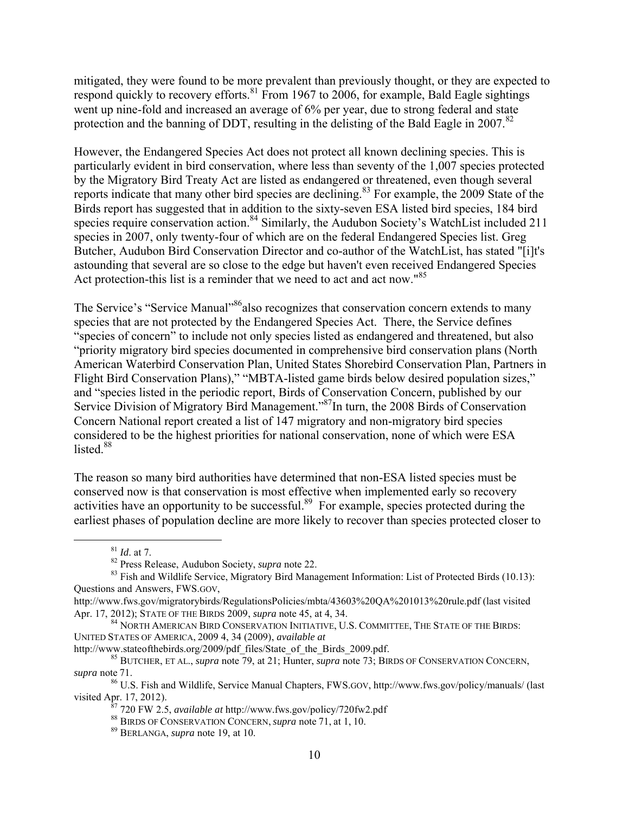mitigated, they were found to be more prevalent than previously thought, or they are expected to respond quickly to recovery efforts.<sup>81</sup> From 1967 to 2006, for example, Bald Eagle sightings went up nine-fold and increased an average of 6% per year, due to strong federal and state protection and the banning of DDT, resulting in the delisting of the Bald Eagle in  $2007$ .<sup>82</sup>

However, the Endangered Species Act does not protect all known declining species. This is particularly evident in bird conservation, where less than seventy of the 1,007 species protected by the Migratory Bird Treaty Act are listed as endangered or threatened, even though several reports indicate that many other bird species are declining.<sup>83</sup> For example, the 2009 State of the Birds report has suggested that in addition to the sixty-seven ESA listed bird species, 184 bird species require conservation action.<sup>84</sup> Similarly, the Audubon Society's WatchList included 211 species in 2007, only twenty-four of which are on the federal Endangered Species list. Greg Butcher, Audubon Bird Conservation Director and co-author of the WatchList, has stated "[i]t's astounding that several are so close to the edge but haven't even received Endangered Species Act protection-this list is a reminder that we need to act and act now."<sup>85</sup>

The Service's "Service Manual"<sup>86</sup>also recognizes that conservation concern extends to many species that are not protected by the Endangered Species Act. There, the Service defines "species of concern" to include not only species listed as endangered and threatened, but also "priority migratory bird species documented in comprehensive bird conservation plans (North American Waterbird Conservation Plan, United States Shorebird Conservation Plan, Partners in Flight Bird Conservation Plans)," "MBTA-listed game birds below desired population sizes," and "species listed in the periodic report, Birds of Conservation Concern, published by our Service Division of Migratory Bird Management."<sup>87</sup>In turn, the 2008 Birds of Conservation Concern National report created a list of 147 migratory and non-migratory bird species considered to be the highest priorities for national conservation, none of which were ESA listed $88$ 

The reason so many bird authorities have determined that non-ESA listed species must be conserved now is that conservation is most effective when implemented early so recovery activities have an opportunity to be successful.<sup>89</sup> For example, species protected during the earliest phases of population decline are more likely to recover than species protected closer to

 <sup>81</sup> *Id*. at 7.

<sup>82</sup> Press Release, Audubon Society, *supra* note 22.

<sup>&</sup>lt;sup>83</sup> Fish and Wildlife Service, Migratory Bird Management Information: List of Protected Birds (10.13): Questions and Answers, FWS.GOV,

http://www.fws.gov/migratorybirds/RegulationsPolicies/mbta/43603%20QA%201013%20rule.pdf (last visited Apr. 17, 2012); STATE OF THE BIRDS 2009, *supra* note 45, at 4, 34.

<sup>84</sup> NORTH AMERICAN BIRD CONSERVATION INITIATIVE, U.S. COMMITTEE, THE STATE OF THE BIRDS: UNITED STATES OF AMERICA, 2009 4, 34 (2009), *available at*

http://www.stateofthebirds.org/2009/pdf\_files/State\_of\_the\_Birds\_2009.pdf.

<sup>85</sup> BUTCHER, ET AL., *supra* note 79, at 21; Hunter, *supra* note 73; BIRDS OF CONSERVATION CONCERN, *supra* note 71.

<sup>86</sup> U.S. Fish and Wildlife, Service Manual Chapters, FWS.GOV, http://www.fws.gov/policy/manuals/ (last visited Apr. 17, 2012).

<sup>87</sup> 720 FW 2.5, *available at* http://www.fws.gov/policy/720fw2.pdf

<sup>88</sup> BIRDS OF CONSERVATION CONCERN, *supra* note 71, at 1, 10.

<sup>89</sup> BERLANGA, *supra* note 19, at 10.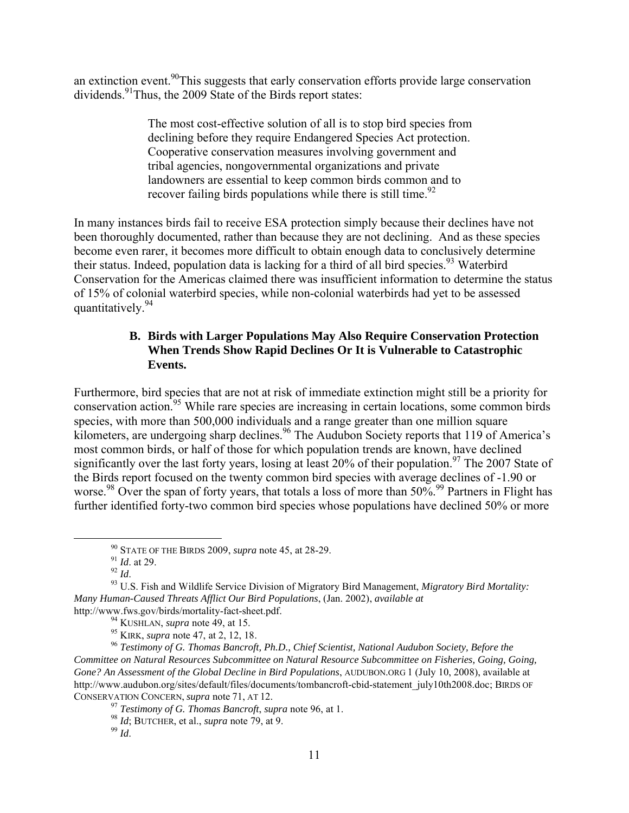an extinction event.<sup>90</sup>This suggests that early conservation efforts provide large conservation dividends.<sup>91</sup>Thus, the 2009 State of the Birds report states:

> The most cost-effective solution of all is to stop bird species from declining before they require Endangered Species Act protection. Cooperative conservation measures involving government and tribal agencies, nongovernmental organizations and private landowners are essential to keep common birds common and to recover failing birds populations while there is still time. $92$

In many instances birds fail to receive ESA protection simply because their declines have not been thoroughly documented, rather than because they are not declining. And as these species become even rarer, it becomes more difficult to obtain enough data to conclusively determine their status. Indeed, population data is lacking for a third of all bird species.<sup>93</sup> Waterbird Conservation for the Americas claimed there was insufficient information to determine the status of 15% of colonial waterbird species, while non-colonial waterbirds had yet to be assessed quantitatively.<sup>94</sup>

# **B. Birds with Larger Populations May Also Require Conservation Protection When Trends Show Rapid Declines Or It is Vulnerable to Catastrophic Events.**

Furthermore, bird species that are not at risk of immediate extinction might still be a priority for conservation action.95 While rare species are increasing in certain locations, some common birds species, with more than 500,000 individuals and a range greater than one million square kilometers, are undergoing sharp declines.<sup>96</sup> The Audubon Society reports that 119 of America's most common birds, or half of those for which population trends are known, have declined significantly over the last forty years, losing at least  $20\%$  of their population.<sup>97</sup> The 2007 State of the Birds report focused on the twenty common bird species with average declines of -1.90 or worse.<sup>98</sup> Over the span of forty years, that totals a loss of more than 50%.<sup>99</sup> Partners in Flight has further identified forty-two common bird species whose populations have declined 50% or more

 <sup>90</sup> STATE OF THE BIRDS 2009, *supra* note 45, at 28-29.

<sup>&</sup>lt;sup>91</sup> *Id.* at 29.<br><sup>92</sup> *Id.* 

<sup>&</sup>lt;sup>93</sup> U.S. Fish and Wildlife Service Division of Migratory Bird Management, *Migratory Bird Mortality*: *Many Human-Caused Threats Afflict Our Bird Populations*, (Jan. 2002), *available at* http://www.fws.gov/birds/mortality-fact-sheet.pdf.

<sup>94</sup> KUSHLAN, *supra* note 49, at 15.

<sup>95</sup> KIRK, *supra* note 47, at 2, 12, 18.

<sup>96</sup> *Testimony of G. Thomas Bancroft, Ph.D., Chief Scientist, National Audubon Society, Before the Committee on Natural Resources Subcommittee on Natural Resource Subcommittee on Fisheries, Going, Going, Gone? An Assessment of the Global Decline in Bird Populations*, AUDUBON.ORG 1 (July 10, 2008), available at http://www.audubon.org/sites/default/files/documents/tombancroft-cbid-statement\_july10th2008.doc; BIRDS OF CONSERVATION CONCERN, *supra* note 71, AT 12.

<sup>97</sup> *Testimony of G. Thomas Bancroft*, *supra* note 96, at 1.

<sup>98</sup> *Id*; BUTCHER, et al., *supra* note 79, at 9.

<sup>99</sup> *Id*.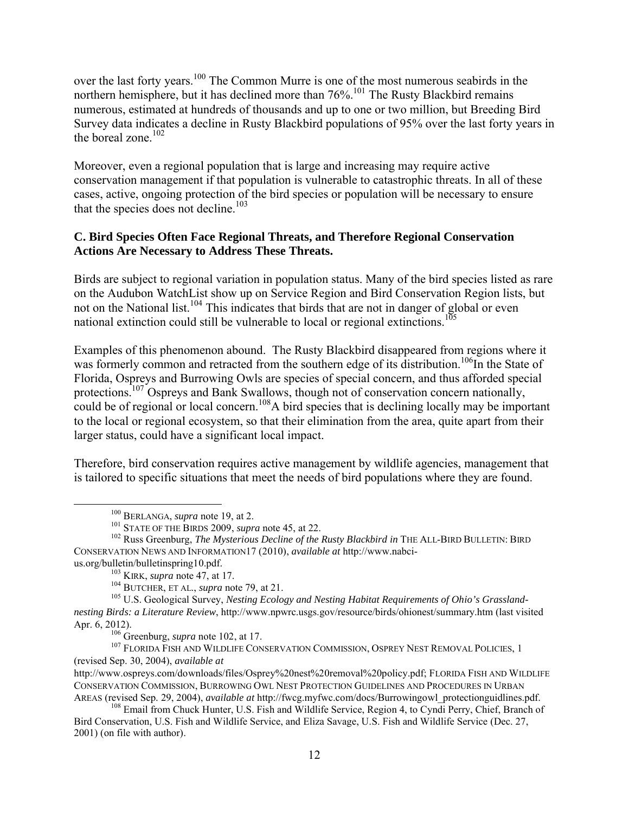over the last forty years.<sup>100</sup> The Common Murre is one of the most numerous seabirds in the northern hemisphere, but it has declined more than 76%.<sup>101</sup> The Rusty Blackbird remains numerous, estimated at hundreds of thousands and up to one or two million, but Breeding Bird Survey data indicates a decline in Rusty Blackbird populations of 95% over the last forty years in the boreal zone. $102$ 

Moreover, even a regional population that is large and increasing may require active conservation management if that population is vulnerable to catastrophic threats. In all of these cases, active, ongoing protection of the bird species or population will be necessary to ensure that the species does not decline.<sup>103</sup>

# **C. Bird Species Often Face Regional Threats, and Therefore Regional Conservation Actions Are Necessary to Address These Threats.**

Birds are subject to regional variation in population status. Many of the bird species listed as rare on the Audubon WatchList show up on Service Region and Bird Conservation Region lists, but not on the National list.<sup>104</sup> This indicates that birds that are not in danger of global or even national extinction could still be vulnerable to local or regional extinctions.<sup>105</sup>

Examples of this phenomenon abound. The Rusty Blackbird disappeared from regions where it was formerly common and retracted from the southern edge of its distribution.<sup>106</sup>In the State of Florida, Ospreys and Burrowing Owls are species of special concern, and thus afforded special protections.<sup>107</sup> Ospreys and Bank Swallows, though not of conservation concern nationally, could be of regional or local concern.<sup>108</sup>A bird species that is declining locally may be important to the local or regional ecosystem, so that their elimination from the area, quite apart from their larger status, could have a significant local impact.

Therefore, bird conservation requires active management by wildlife agencies, management that is tailored to specific situations that meet the needs of bird populations where they are found.

<sup>106</sup> Greenburg, *supra* note 102, at 17.

<sup>107</sup> FLORIDA FISH AND WILDLIFE CONSERVATION COMMISSION, OSPREY NEST REMOVAL POLICIES, 1 (revised Sep. 30, 2004), *available at* 

 <sup>100</sup> BERLANGA, *supra* note 19, at 2.

<sup>101</sup> STATE OF THE BIRDS 2009, *supra* note 45, at 22.

<sup>&</sup>lt;sup>102</sup> Russ Greenburg, *The Mysterious Decline of the Rusty Blackbird in* THE ALL-BIRD BULLETIN: BIRD CONSERVATION NEWS AND INFORMATION17 (2010), *available at* http://www.nabcius.org/bulletin/bulletinspring10.pdf.

<sup>103</sup> KIRK, *supra* note 47, at 17.

<sup>104</sup> BUTCHER, ET AL., *supra* note 79, at 21.

<sup>&</sup>lt;sup>105</sup> U.S. Geological Survey, *Nesting Ecology and Nesting Habitat Requirements of Ohio's Grasslandnesting Birds: a Literature Review*, http://www.npwrc.usgs.gov/resource/birds/ohionest/summary.htm (last visited Apr. 6, 2012).

http://www.ospreys.com/downloads/files/Osprey%20nest%20removal%20policy.pdf; FLORIDA FISH AND WILDLIFE CONSERVATION COMMISSION, BURROWING OWL NEST PROTECTION GUIDELINES AND PROCEDURES IN URBAN AREAS (revised Sep. 29, 2004), *available at* http://fwcg.myfwc.com/docs/Burrowingowl\_protectionguidlines.pdf.

<sup>&</sup>lt;sup>108</sup> Email from Chuck Hunter, U.S. Fish and Wildlife Service, Region 4, to Cyndi Perry, Chief, Branch of Bird Conservation, U.S. Fish and Wildlife Service, and Eliza Savage, U.S. Fish and Wildlife Service (Dec. 27, 2001) (on file with author).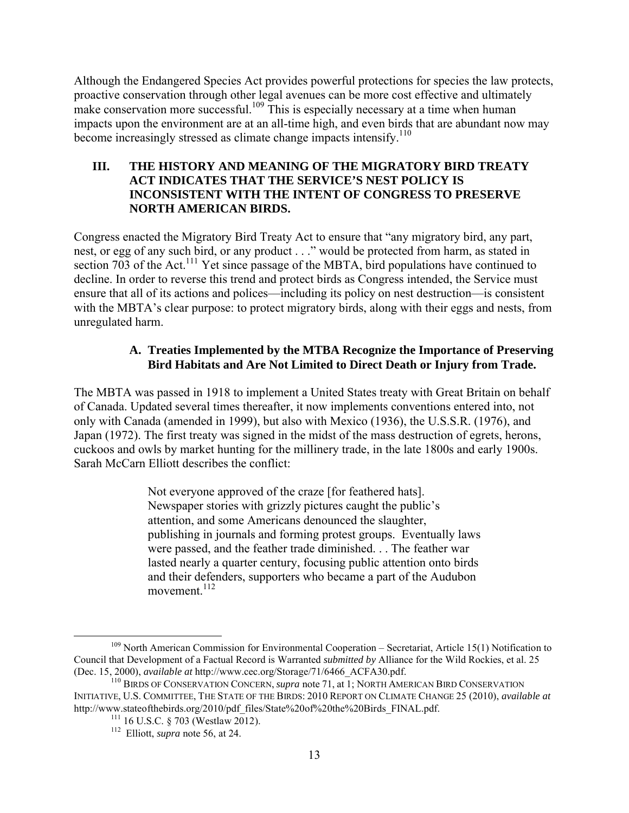Although the Endangered Species Act provides powerful protections for species the law protects, proactive conservation through other legal avenues can be more cost effective and ultimately make conservation more successful.<sup>109</sup> This is especially necessary at a time when human impacts upon the environment are at an all-time high, and even birds that are abundant now may become increasingly stressed as climate change impacts intensify.<sup>110</sup>

### **III. THE HISTORY AND MEANING OF THE MIGRATORY BIRD TREATY ACT INDICATES THAT THE SERVICE'S NEST POLICY IS INCONSISTENT WITH THE INTENT OF CONGRESS TO PRESERVE NORTH AMERICAN BIRDS.**

Congress enacted the Migratory Bird Treaty Act to ensure that "any migratory bird, any part, nest, or egg of any such bird, or any product . . ." would be protected from harm, as stated in section 703 of the Act.<sup>111</sup> Yet since passage of the MBTA, bird populations have continued to decline. In order to reverse this trend and protect birds as Congress intended, the Service must ensure that all of its actions and polices—including its policy on nest destruction—is consistent with the MBTA's clear purpose: to protect migratory birds, along with their eggs and nests, from unregulated harm.

# **A. Treaties Implemented by the MTBA Recognize the Importance of Preserving Bird Habitats and Are Not Limited to Direct Death or Injury from Trade.**

The MBTA was passed in 1918 to implement a United States treaty with Great Britain on behalf of Canada. Updated several times thereafter, it now implements conventions entered into, not only with Canada (amended in 1999), but also with Mexico (1936), the U.S.S.R. (1976), and Japan (1972). The first treaty was signed in the midst of the mass destruction of egrets, herons, cuckoos and owls by market hunting for the millinery trade, in the late 1800s and early 1900s. Sarah McCarn Elliott describes the conflict:

> Not everyone approved of the craze [for feathered hats]. Newspaper stories with grizzly pictures caught the public's attention, and some Americans denounced the slaughter, publishing in journals and forming protest groups. Eventually laws were passed, and the feather trade diminished. . . The feather war lasted nearly a quarter century, focusing public attention onto birds and their defenders, supporters who became a part of the Audubon movement $112$

<sup>&</sup>lt;sup>109</sup> North American Commission for Environmental Cooperation – Secretariat, Article 15(1) Notification to Council that Development of a Factual Record is Warranted *submitted by* Alliance for the Wild Rockies, et al. 25 (Dec. 15, 2000), *available at* http://www.cec.org/Storage/71/6466\_ACFA30.pdf.

<sup>110</sup> BIRDS OF CONSERVATION CONCERN, *supra* note 71, at 1; NORTH AMERICAN BIRD CONSERVATION INITIATIVE, U.S. COMMITTEE, THE STATE OF THE BIRDS: 2010 REPORT ON CLIMATE CHANGE 25 (2010), *available at*  http://www.stateofthebirds.org/2010/pdf\_files/State%20of%20the%20Birds\_FINAL.pdf.

 $111$  16 U.S.C. § 703 (Westlaw 2012).

<sup>112</sup> Elliott, *supra* note 56, at 24.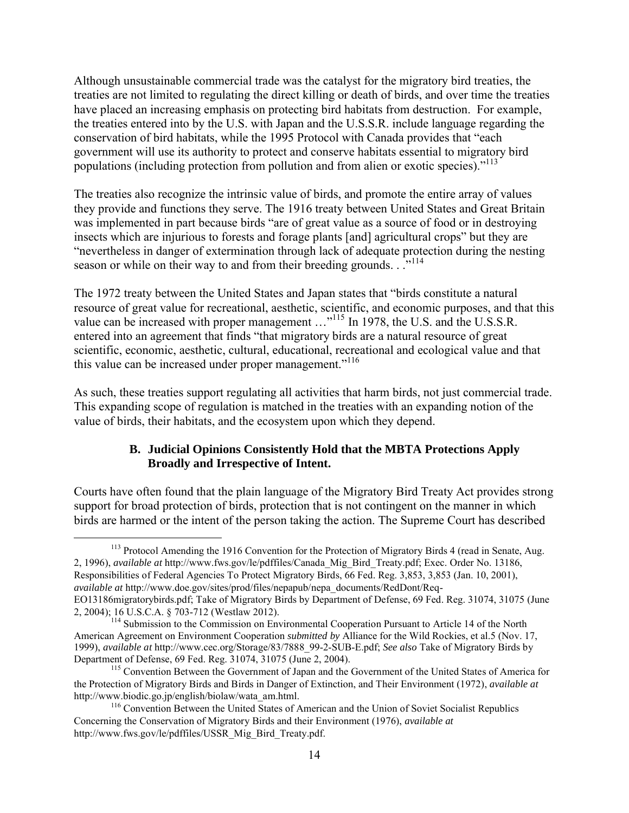Although unsustainable commercial trade was the catalyst for the migratory bird treaties, the treaties are not limited to regulating the direct killing or death of birds, and over time the treaties have placed an increasing emphasis on protecting bird habitats from destruction. For example, the treaties entered into by the U.S. with Japan and the U.S.S.R. include language regarding the conservation of bird habitats, while the 1995 Protocol with Canada provides that "each government will use its authority to protect and conserve habitats essential to migratory bird populations (including protection from pollution and from alien or exotic species)."<sup>113</sup>

The treaties also recognize the intrinsic value of birds, and promote the entire array of values they provide and functions they serve. The 1916 treaty between United States and Great Britain was implemented in part because birds "are of great value as a source of food or in destroying insects which are injurious to forests and forage plants [and] agricultural crops" but they are "nevertheless in danger of extermination through lack of adequate protection during the nesting season or while on their way to and from their breeding grounds. . ...<sup>114</sup>

The 1972 treaty between the United States and Japan states that "birds constitute a natural resource of great value for recreational, aesthetic, scientific, and economic purposes, and that this value can be increased with proper management ..."<sup>115</sup> In 1978, the U.S. and the U.S.S.R. entered into an agreement that finds "that migratory birds are a natural resource of great scientific, economic, aesthetic, cultural, educational, recreational and ecological value and that this value can be increased under proper management."<sup>116</sup>

As such, these treaties support regulating all activities that harm birds, not just commercial trade. This expanding scope of regulation is matched in the treaties with an expanding notion of the value of birds, their habitats, and the ecosystem upon which they depend.

# **B. Judicial Opinions Consistently Hold that the MBTA Protections Apply Broadly and Irrespective of Intent.**

Courts have often found that the plain language of the Migratory Bird Treaty Act provides strong support for broad protection of birds, protection that is not contingent on the manner in which birds are harmed or the intent of the person taking the action. The Supreme Court has described

<sup>&</sup>lt;sup>113</sup> Protocol Amending the 1916 Convention for the Protection of Migratory Birds 4 (read in Senate, Aug. 2, 1996), *available at* http://www.fws.gov/le/pdffiles/Canada\_Mig\_Bird\_Treaty.pdf; Exec. Order No. 13186, Responsibilities of Federal Agencies To Protect Migratory Birds, 66 Fed. Reg. 3,853, 3,853 (Jan. 10, 2001), *available at* http://www.doe.gov/sites/prod/files/nepapub/nepa\_documents/RedDont/Req-EO13186migratorybirds.pdf; Take of Migratory Birds by Department of Defense, 69 Fed. Reg. 31074, 31075 (June 2, 2004); 16 U.S.C.A. § 703-712 (Westlaw 2012).

<sup>&</sup>lt;sup>114</sup> Submission to the Commission on Environmental Cooperation Pursuant to Article 14 of the North American Agreement on Environment Cooperation *submitted by* Alliance for the Wild Rockies, et al.5 (Nov. 17, 1999), *available at* http://www.cec.org/Storage/83/7888\_99-2-SUB-E.pdf; *See also* Take of Migratory Birds by Department of Defense, 69 Fed. Reg. 31074, 31075 (June 2, 2004).

<sup>&</sup>lt;sup>115</sup> Convention Between the Government of Japan and the Government of the United States of America for the Protection of Migratory Birds and Birds in Danger of Extinction, and Their Environment (1972), *available at*  http://www.biodic.go.jp/english/biolaw/wata\_am.html.

<sup>&</sup>lt;sup>116</sup> Convention Between the United States of American and the Union of Soviet Socialist Republics Concerning the Conservation of Migratory Birds and their Environment (1976), *available at*  http://www.fws.gov/le/pdffiles/USSR\_Mig\_Bird\_Treaty.pdf.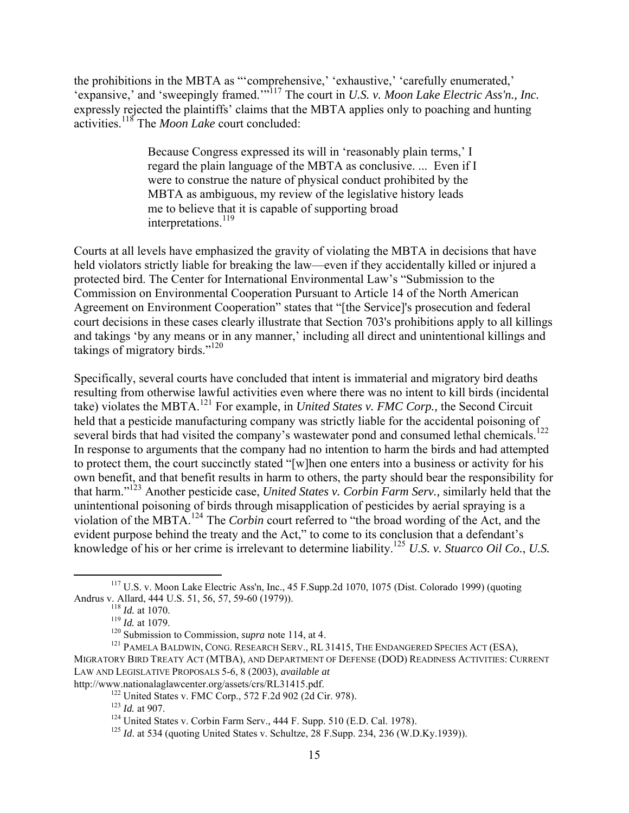the prohibitions in the MBTA as "'comprehensive,' 'exhaustive,' 'carefully enumerated,' 'expansive,' and 'sweepingly framed.'"<sup>117</sup> The court in *U.S. v. Moon Lake Electric Ass'n., Inc.* expressly rejected the plaintiffs' claims that the MBTA applies only to poaching and hunting activities.118 The *Moon Lake* court concluded:

> Because Congress expressed its will in 'reasonably plain terms,' I regard the plain language of the MBTA as conclusive. ... Even if I were to construe the nature of physical conduct prohibited by the MBTA as ambiguous, my review of the legislative history leads me to believe that it is capable of supporting broad interpretations.<sup>119</sup>

Courts at all levels have emphasized the gravity of violating the MBTA in decisions that have held violators strictly liable for breaking the law—even if they accidentally killed or injured a protected bird. The Center for International Environmental Law's "Submission to the Commission on Environmental Cooperation Pursuant to Article 14 of the North American Agreement on Environment Cooperation" states that "[the Service]'s prosecution and federal court decisions in these cases clearly illustrate that Section 703's prohibitions apply to all killings and takings 'by any means or in any manner,' including all direct and unintentional killings and takings of migratory birds." $120$ 

Specifically, several courts have concluded that intent is immaterial and migratory bird deaths resulting from otherwise lawful activities even where there was no intent to kill birds (incidental take) violates the MBTA.<sup>121</sup> For example, in *United States v. FMC Corp.,* the Second Circuit held that a pesticide manufacturing company was strictly liable for the accidental poisoning of several birds that had visited the company's wastewater pond and consumed lethal chemicals.<sup>122</sup> In response to arguments that the company had no intention to harm the birds and had attempted to protect them, the court succinctly stated "[w]hen one enters into a business or activity for his own benefit, and that benefit results in harm to others, the party should bear the responsibility for that harm."<sup>123</sup> Another pesticide case, *United States v. Corbin Farm Serv.,* similarly held that the unintentional poisoning of birds through misapplication of pesticides by aerial spraying is a violation of the MBTA.124 The *Corbin* court referred to "the broad wording of the Act, and the evident purpose behind the treaty and the Act," to come to its conclusion that a defendant's knowledge of his or her crime is irrelevant to determine liability.125 *U.S. v. Stuarco Oil Co.*, *U.S.* 

<sup>&</sup>lt;sup>117</sup> U.S. v. Moon Lake Electric Ass'n, Inc., 45 F.Supp.2d 1070, 1075 (Dist. Colorado 1999) (quoting Andrus v. Allard, 444 U.S. 51, 56, 57, 59-60 (1979)).

<sup>118</sup> *Id.* at 1070.

<sup>&</sup>lt;sup>119</sup> *Id.* at 1079.<br><sup>120</sup> Submission to Commission, *supra* note 114, at 4.

<sup>&</sup>lt;sup>121</sup> PAMELA BALDWIN, CONG. RESEARCH SERV., RL 31415, THE ENDANGERED SPECIES ACT (ESA), MIGRATORY BIRD TREATY ACT (MTBA), AND DEPARTMENT OF DEFENSE (DOD) READINESS ACTIVITIES: CURRENT LAW AND LEGISLATIVE PROPOSALS 5-6, 8 (2003), *available at*  http://www.nationalaglawcenter.org/assets/crs/RL31415.pdf.

<sup>122</sup> United States v. FMC Corp., 572 F.2d 902 (2d Cir. 978).

<sup>123</sup> *Id.* at 907.

<sup>124</sup> United States v. Corbin Farm Serv.*,* 444 F. Supp. 510 (E.D. Cal. 1978).

<sup>&</sup>lt;sup>125</sup> *Id.* at 534 (quoting United States v. Schultze, 28 F.Supp. 234, 236 (W.D.Ky.1939)).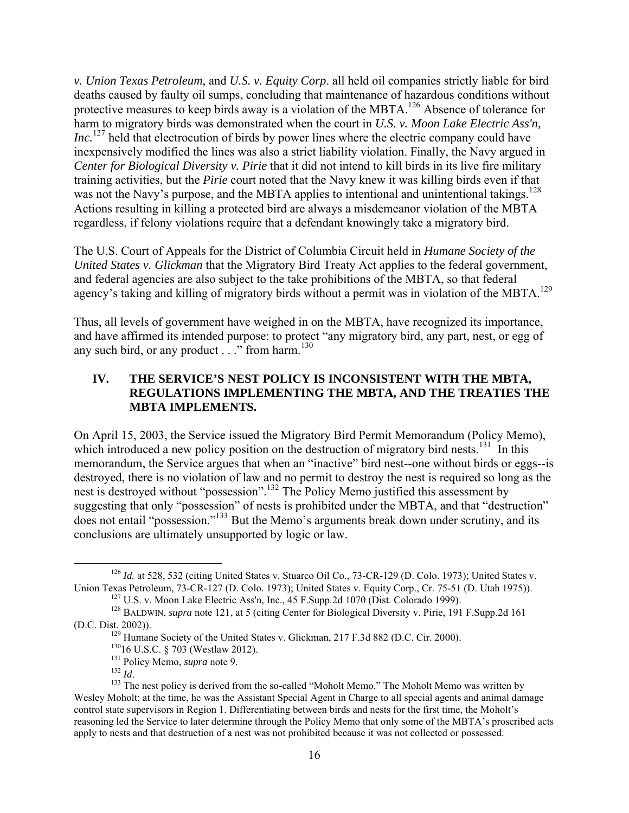*v. Union Texas Petroleum*, and *U.S. v. Equity Corp*. all held oil companies strictly liable for bird deaths caused by faulty oil sumps, concluding that maintenance of hazardous conditions without protective measures to keep birds away is a violation of the MBTA.<sup>126</sup> Absence of tolerance for harm to migratory birds was demonstrated when the court in *U.S. v. Moon Lake Electric Ass'n, Inc.*<sup>127</sup> held that electrocution of birds by power lines where the electric company could have inexpensively modified the lines was also a strict liability violation. Finally, the Navy argued in *Center for Biological Diversity v. Pirie* that it did not intend to kill birds in its live fire military training activities, but the *Pirie* court noted that the Navy knew it was killing birds even if that was not the Navy's purpose, and the MBTA applies to intentional and unintentional takings.<sup>128</sup> Actions resulting in killing a protected bird are always a misdemeanor violation of the MBTA regardless, if felony violations require that a defendant knowingly take a migratory bird.

The U.S. Court of Appeals for the District of Columbia Circuit held in *Humane Society of the United States v. Glickman* that the Migratory Bird Treaty Act applies to the federal government, and federal agencies are also subject to the take prohibitions of the MBTA, so that federal agency's taking and killing of migratory birds without a permit was in violation of the MBTA.<sup>129</sup>

Thus, all levels of government have weighed in on the MBTA, have recognized its importance, and have affirmed its intended purpose: to protect "any migratory bird, any part, nest, or egg of any such bird, or any product  $\ldots$ " from harm.<sup>130</sup>

# **IV. THE SERVICE'S NEST POLICY IS INCONSISTENT WITH THE MBTA, REGULATIONS IMPLEMENTING THE MBTA, AND THE TREATIES THE MBTA IMPLEMENTS.**

On April 15, 2003, the Service issued the Migratory Bird Permit Memorandum (Policy Memo), which introduced a new policy position on the destruction of migratory bird nests.<sup>131</sup> In this memorandum, the Service argues that when an "inactive" bird nest--one without birds or eggs--is destroyed, there is no violation of law and no permit to destroy the nest is required so long as the nest is destroyed without "possession".<sup>132</sup> The Policy Memo justified this assessment by suggesting that only "possession" of nests is prohibited under the MBTA, and that "destruction" does not entail "possession."133 But the Memo's arguments break down under scrutiny, and its conclusions are ultimately unsupported by logic or law.

<sup>&</sup>lt;sup>126</sup> *Id.* at 528, 532 (citing United States v. Stuarco Oil Co., 73-CR-129 (D. Colo. 1973); United States v. Union Texas Petroleum, 73-CR-127 (D. Colo. 1973); United States v. Equity Corp., Cr. 75-51 (D. Utah 1975)).

 $127$  U.S. v. Moon Lake Electric Ass'n, Inc., 45 F. Supp. 2d 1070 (Dist. Colorado 1999).

<sup>128</sup> BALDWIN, *supra* note 121, at 5 (citing Center for Biological Diversity v. Pirie, 191 F.Supp.2d 161 (D.C. Dist. 2002)).

<sup>&</sup>lt;sup>129</sup> Humane Society of the United States v. Glickman, 217 F.3d 882 (D.C. Cir. 2000).

<sup>13016</sup> U.S.C. § 703 (Westlaw 2012).

<sup>&</sup>lt;sup>131</sup> Policy Memo, *supra* note 9.<br><sup>132</sup> Id

<sup>&</sup>lt;sup>133</sup> The nest policy is derived from the so-called "Moholt Memo." The Moholt Memo was written by Wesley Moholt; at the time, he was the Assistant Special Agent in Charge to all special agents and animal damage control state supervisors in Region 1. Differentiating between birds and nests for the first time, the Moholt's reasoning led the Service to later determine through the Policy Memo that only some of the MBTA's proscribed acts apply to nests and that destruction of a nest was not prohibited because it was not collected or possessed.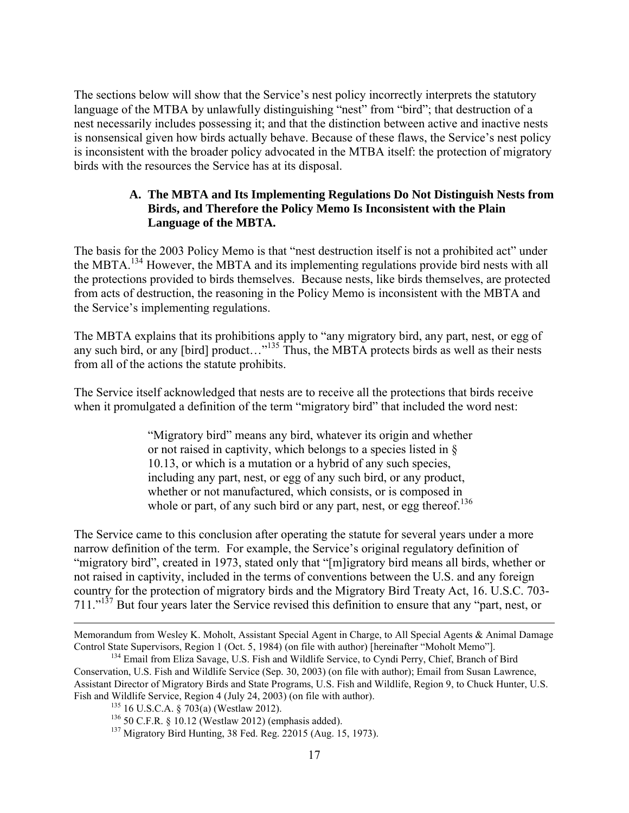The sections below will show that the Service's nest policy incorrectly interprets the statutory language of the MTBA by unlawfully distinguishing "nest" from "bird"; that destruction of a nest necessarily includes possessing it; and that the distinction between active and inactive nests is nonsensical given how birds actually behave. Because of these flaws, the Service's nest policy is inconsistent with the broader policy advocated in the MTBA itself: the protection of migratory birds with the resources the Service has at its disposal.

# **A. The MBTA and Its Implementing Regulations Do Not Distinguish Nests from Birds, and Therefore the Policy Memo Is Inconsistent with the Plain Language of the MBTA.**

The basis for the 2003 Policy Memo is that "nest destruction itself is not a prohibited act" under the MBTA.<sup>134</sup> However, the MBTA and its implementing regulations provide bird nests with all the protections provided to birds themselves. Because nests, like birds themselves, are protected from acts of destruction, the reasoning in the Policy Memo is inconsistent with the MBTA and the Service's implementing regulations.

The MBTA explains that its prohibitions apply to "any migratory bird, any part, nest, or egg of any such bird, or any [bird] product..."<sup>135</sup> Thus, the MBTA protects birds as well as their nests from all of the actions the statute prohibits.

The Service itself acknowledged that nests are to receive all the protections that birds receive when it promulgated a definition of the term "migratory bird" that included the word nest:

> "Migratory bird" means any bird, whatever its origin and whether or not raised in captivity, which belongs to a species listed in § 10.13, or which is a mutation or a hybrid of any such species, including any part, nest, or egg of any such bird, or any product, whether or not manufactured, which consists, or is composed in whole or part, of any such bird or any part, nest, or egg thereof. $136$

The Service came to this conclusion after operating the statute for several years under a more narrow definition of the term. For example, the Service's original regulatory definition of "migratory bird", created in 1973, stated only that "[m]igratory bird means all birds, whether or not raised in captivity, included in the terms of conventions between the U.S. and any foreign country for the protection of migratory birds and the Migratory Bird Treaty Act, 16. U.S.C. 703- 711."<sup>137</sup> But four years later the Service revised this definition to ensure that any "part, nest, or

 $\overline{a}$ 

Memorandum from Wesley K. Moholt, Assistant Special Agent in Charge, to All Special Agents & Animal Damage Control State Supervisors, Region 1 (Oct. 5, 1984) (on file with author) [hereinafter "Moholt Memo"].

<sup>&</sup>lt;sup>134</sup> Email from Eliza Savage, U.S. Fish and Wildlife Service, to Cyndi Perry, Chief, Branch of Bird Conservation, U.S. Fish and Wildlife Service (Sep. 30, 2003) (on file with author); Email from Susan Lawrence, Assistant Director of Migratory Birds and State Programs, U.S. Fish and Wildlife, Region 9, to Chuck Hunter, U.S. Fish and Wildlife Service, Region 4 (July 24, 2003) (on file with author).

 $135$  16 U.S.C.A. § 703(a) (Westlaw 2012).

<sup>136</sup> 50 C.F.R. § 10.12 (Westlaw 2012) (emphasis added).

<sup>137</sup> Migratory Bird Hunting, 38 Fed. Reg. 22015 (Aug. 15, 1973).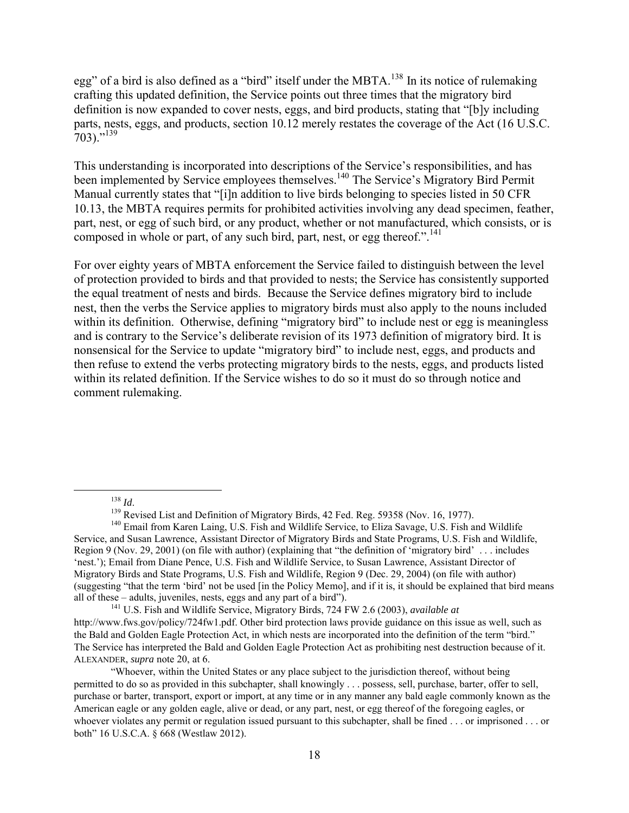egg" of a bird is also defined as a "bird" itself under the MBTA.<sup>138</sup> In its notice of rulemaking crafting this updated definition, the Service points out three times that the migratory bird definition is now expanded to cover nests, eggs, and bird products, stating that "[b]y including parts, nests, eggs, and products, section 10.12 merely restates the coverage of the Act (16 U.S.C.  $703$ ."<sup>139</sup>

This understanding is incorporated into descriptions of the Service's responsibilities, and has been implemented by Service employees themselves.<sup>140</sup> The Service's Migratory Bird Permit Manual currently states that "[i]n addition to live birds belonging to species listed in 50 CFR 10.13, the MBTA requires permits for prohibited activities involving any dead specimen, feather, part, nest, or egg of such bird, or any product, whether or not manufactured, which consists, or is composed in whole or part, of any such bird, part, nest, or egg thereof.".<sup>141</sup>

For over eighty years of MBTA enforcement the Service failed to distinguish between the level of protection provided to birds and that provided to nests; the Service has consistently supported the equal treatment of nests and birds. Because the Service defines migratory bird to include nest, then the verbs the Service applies to migratory birds must also apply to the nouns included within its definition. Otherwise, defining "migratory bird" to include nest or egg is meaningless and is contrary to the Service's deliberate revision of its 1973 definition of migratory bird. It is nonsensical for the Service to update "migratory bird" to include nest, eggs, and products and then refuse to extend the verbs protecting migratory birds to the nests, eggs, and products listed within its related definition. If the Service wishes to do so it must do so through notice and comment rulemaking.

<sup>141</sup> U.S. Fish and Wildlife Service, Migratory Birds, 724 FW 2.6 (2003), *available at* http://www.fws.gov/policy/724fw1.pdf. Other bird protection laws provide guidance on this issue as well, such as the Bald and Golden Eagle Protection Act, in which nests are incorporated into the definition of the term "bird." The Service has interpreted the Bald and Golden Eagle Protection Act as prohibiting nest destruction because of it. ALEXANDER, *supra* note 20, at 6.

<sup>&</sup>lt;sup>138</sup> *Id.* 139 *Id.* 139 *Id.* 139 Revised List and Definition of Migratory Birds, 42 Fed. Reg. 59358 (Nov. 16, 1977).

<sup>&</sup>lt;sup>140</sup> Email from Karen Laing, U.S. Fish and Wildlife Service, to Eliza Savage, U.S. Fish and Wildlife Service, and Susan Lawrence, Assistant Director of Migratory Birds and State Programs, U.S. Fish and Wildlife, Region 9 (Nov. 29, 2001) (on file with author) (explaining that "the definition of 'migratory bird' . . . includes 'nest.'); Email from Diane Pence, U.S. Fish and Wildlife Service, to Susan Lawrence, Assistant Director of Migratory Birds and State Programs, U.S. Fish and Wildlife, Region 9 (Dec. 29, 2004) (on file with author) (suggesting "that the term 'bird' not be used [in the Policy Memo], and if it is, it should be explained that bird means all of these – adults, juveniles, nests, eggs and any part of a bird").

<sup>&</sup>quot;Whoever, within the United States or any place subject to the jurisdiction thereof, without being permitted to do so as provided in this subchapter, shall knowingly . . . possess, sell, purchase, barter, offer to sell, purchase or barter, transport, export or import, at any time or in any manner any bald eagle commonly known as the American eagle or any golden eagle, alive or dead, or any part, nest, or egg thereof of the foregoing eagles, or whoever violates any permit or regulation issued pursuant to this subchapter, shall be fined ... or imprisoned ... or both" 16 U.S.C.A. § 668 (Westlaw 2012).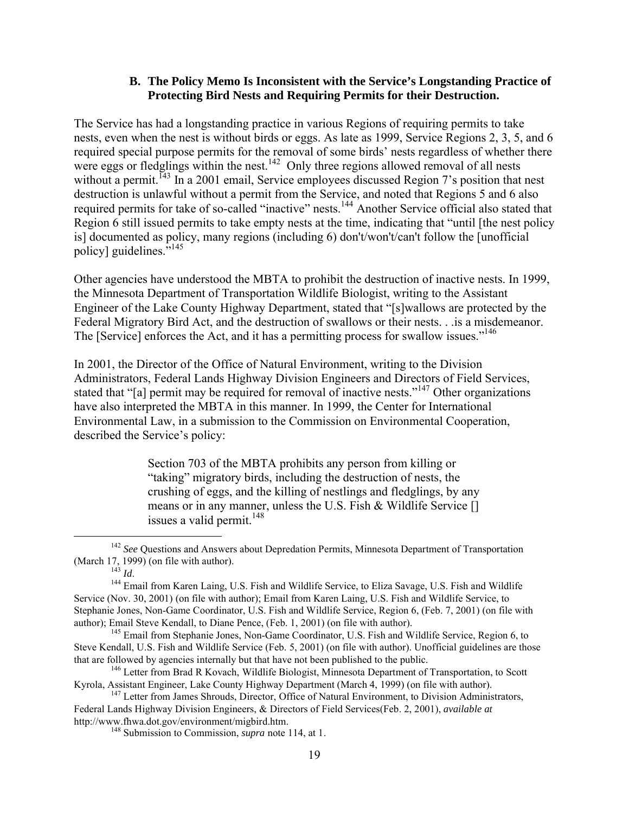### **B. The Policy Memo Is Inconsistent with the Service's Longstanding Practice of Protecting Bird Nests and Requiring Permits for their Destruction.**

The Service has had a longstanding practice in various Regions of requiring permits to take nests, even when the nest is without birds or eggs. As late as 1999, Service Regions 2, 3, 5, and 6 required special purpose permits for the removal of some birds' nests regardless of whether there were eggs or fledglings within the nest.<sup>142</sup> Only three regions allowed removal of all nests without a permit.<sup>143</sup> In a 2001 email, Service employees discussed Region 7's position that nest destruction is unlawful without a permit from the Service, and noted that Regions 5 and 6 also required permits for take of so-called "inactive" nests.<sup>144</sup> Another Service official also stated that Region 6 still issued permits to take empty nests at the time, indicating that "until [the nest policy is] documented as policy, many regions (including 6) don't/won't/can't follow the [unofficial policy] guidelines."<sup>145</sup>

Other agencies have understood the MBTA to prohibit the destruction of inactive nests. In 1999, the Minnesota Department of Transportation Wildlife Biologist, writing to the Assistant Engineer of the Lake County Highway Department, stated that "[s]wallows are protected by the Federal Migratory Bird Act, and the destruction of swallows or their nests. . .is a misdemeanor. The [Service] enforces the Act, and it has a permitting process for swallow issues."<sup>146</sup>

In 2001, the Director of the Office of Natural Environment, writing to the Division Administrators, Federal Lands Highway Division Engineers and Directors of Field Services, stated that "[a] permit may be required for removal of inactive nests."<sup>147</sup> Other organizations have also interpreted the MBTA in this manner. In 1999, the Center for International Environmental Law, in a submission to the Commission on Environmental Cooperation, described the Service's policy:

> Section 703 of the MBTA prohibits any person from killing or "taking" migratory birds, including the destruction of nests, the crushing of eggs, and the killing of nestlings and fledglings, by any means or in any manner, unless the U.S. Fish & Wildlife Service [] issues a valid permit. $148$

<sup>145</sup> Email from Stephanie Jones, Non-Game Coordinator, U.S. Fish and Wildlife Service, Region 6, to Steve Kendall, U.S. Fish and Wildlife Service (Feb. 5, 2001) (on file with author). Unofficial guidelines are those that are followed by agencies internally but that have not been published to the public.

<sup>&</sup>lt;sup>142</sup> See Questions and Answers about Depredation Permits, Minnesota Department of Transportation (March 17, 1999) (on file with author).

 $\frac{1}{143}$  *Id.* 

<sup>&</sup>lt;sup>144</sup> Email from Karen Laing, U.S. Fish and Wildlife Service, to Eliza Savage, U.S. Fish and Wildlife Service (Nov. 30, 2001) (on file with author); Email from Karen Laing, U.S. Fish and Wildlife Service, to Stephanie Jones, Non-Game Coordinator, U.S. Fish and Wildlife Service, Region 6, (Feb. 7, 2001) (on file with author); Email Steve Kendall, to Diane Pence, (Feb. 1, 2001) (on file with author).

<sup>&</sup>lt;sup>146</sup> Letter from Brad R Kovach, Wildlife Biologist, Minnesota Department of Transportation, to Scott Kyrola, Assistant Engineer, Lake County Highway Department (March 4, 1999) (on file with author).

<sup>&</sup>lt;sup>147</sup> Letter from James Shrouds, Director, Office of Natural Environment, to Division Administrators, Federal Lands Highway Division Engineers, & Directors of Field Services(Feb. 2, 2001), *available at*  http://www.fhwa.dot.gov/environment/migbird.htm.

<sup>148</sup> Submission to Commission, *supra* note 114, at 1.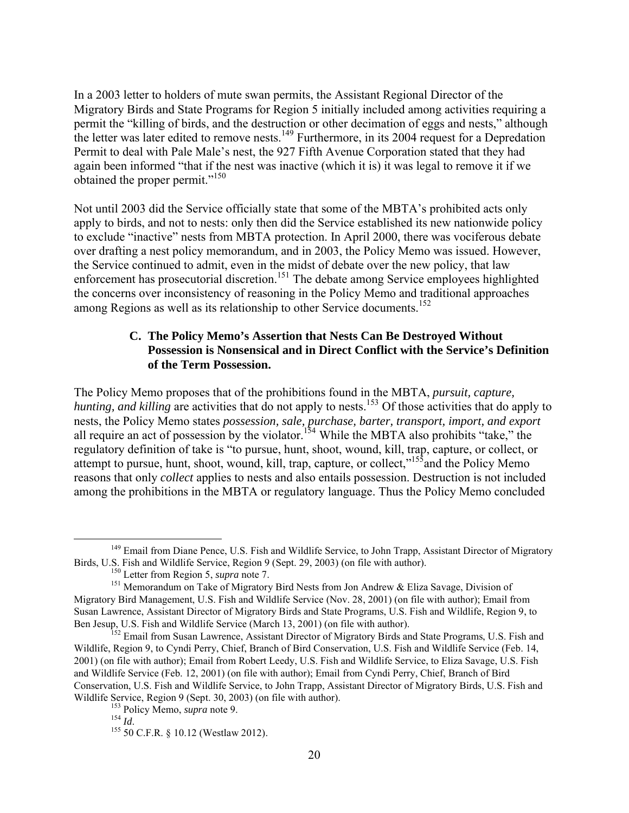In a 2003 letter to holders of mute swan permits, the Assistant Regional Director of the Migratory Birds and State Programs for Region 5 initially included among activities requiring a permit the "killing of birds, and the destruction or other decimation of eggs and nests," although the letter was later edited to remove nests.<sup>149</sup> Furthermore, in its 2004 request for a Depredation Permit to deal with Pale Male's nest, the 927 Fifth Avenue Corporation stated that they had again been informed "that if the nest was inactive (which it is) it was legal to remove it if we obtained the proper permit."<sup>150</sup>

Not until 2003 did the Service officially state that some of the MBTA's prohibited acts only apply to birds, and not to nests: only then did the Service established its new nationwide policy to exclude "inactive" nests from MBTA protection. In April 2000, there was vociferous debate over drafting a nest policy memorandum, and in 2003, the Policy Memo was issued. However, the Service continued to admit, even in the midst of debate over the new policy, that law enforcement has prosecutorial discretion.<sup>151</sup> The debate among Service employees highlighted the concerns over inconsistency of reasoning in the Policy Memo and traditional approaches among Regions as well as its relationship to other Service documents.<sup>152</sup>

### **C. The Policy Memo's Assertion that Nests Can Be Destroyed Without Possession is Nonsensical and in Direct Conflict with the Service's Definition of the Term Possession.**

The Policy Memo proposes that of the prohibitions found in the MBTA, *pursuit, capture, hunting, and killing* are activities that do not apply to nests.<sup>153</sup> Of those activities that do apply to nests, the Policy Memo states *possession, sale, purchase, barter, transport, import, and export* all require an act of possession by the violator.<sup>154</sup> While the MBTA also prohibits "take," the regulatory definition of take is "to pursue, hunt, shoot, wound, kill, trap, capture, or collect, or attempt to pursue, hunt, shoot, wound, kill, trap, capture, or collect,"<sup>155</sup>and the Policy Memo reasons that only *collect* applies to nests and also entails possession. Destruction is not included among the prohibitions in the MBTA or regulatory language. Thus the Policy Memo concluded

<sup>&</sup>lt;sup>149</sup> Email from Diane Pence, U.S. Fish and Wildlife Service, to John Trapp, Assistant Director of Migratory Birds, U.S. Fish and Wildlife Service, Region 9 (Sept. 29, 2003) (on file with author).

<sup>150</sup> Letter from Region 5, *supra* note 7.

<sup>&</sup>lt;sup>151</sup> Memorandum on Take of Migratory Bird Nests from Jon Andrew & Eliza Savage, Division of Migratory Bird Management, U.S. Fish and Wildlife Service (Nov. 28, 2001) (on file with author); Email from Susan Lawrence, Assistant Director of Migratory Birds and State Programs, U.S. Fish and Wildlife, Region 9, to Ben Jesup, U.S. Fish and Wildlife Service (March 13, 2001) (on file with author).

<sup>&</sup>lt;sup>152</sup> Email from Susan Lawrence, Assistant Director of Migratory Birds and State Programs, U.S. Fish and Wildlife, Region 9, to Cyndi Perry, Chief, Branch of Bird Conservation, U.S. Fish and Wildlife Service (Feb. 14, 2001) (on file with author); Email from Robert Leedy, U.S. Fish and Wildlife Service, to Eliza Savage, U.S. Fish and Wildlife Service (Feb. 12, 2001) (on file with author); Email from Cyndi Perry, Chief, Branch of Bird Conservation, U.S. Fish and Wildlife Service, to John Trapp, Assistant Director of Migratory Birds, U.S. Fish and Wildlife Service, Region 9 (Sept. 30, 2003) (on file with author).

<sup>&</sup>lt;sup>153</sup> Policy Memo, *supra* note 9.<br><sup>154</sup> Id

<sup>&</sup>lt;sup>155</sup> 50 C.F.R. § 10.12 (Westlaw 2012).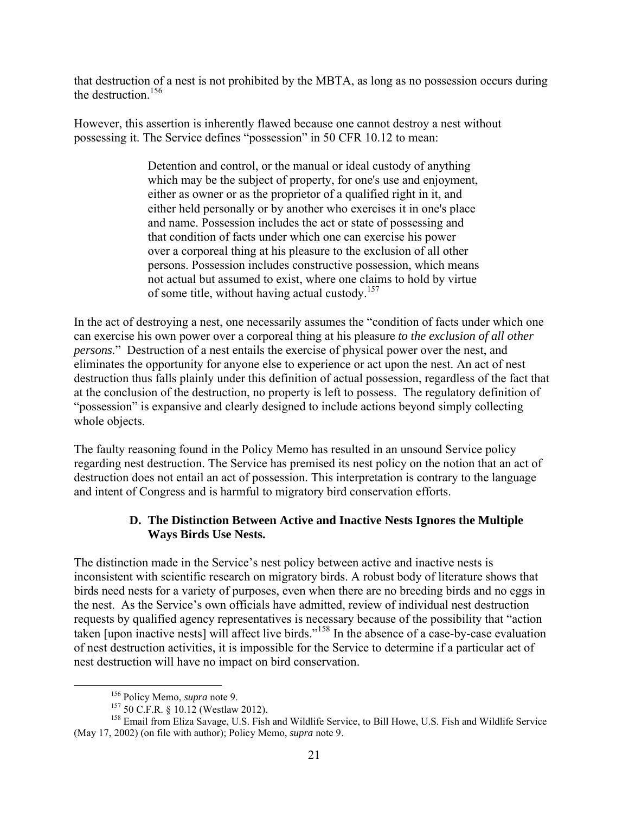that destruction of a nest is not prohibited by the MBTA, as long as no possession occurs during the destruction  $156$ 

However, this assertion is inherently flawed because one cannot destroy a nest without possessing it. The Service defines "possession" in 50 CFR 10.12 to mean:

> Detention and control, or the manual or ideal custody of anything which may be the subject of property, for one's use and enjoyment, either as owner or as the proprietor of a qualified right in it, and either held personally or by another who exercises it in one's place and name. Possession includes the act or state of possessing and that condition of facts under which one can exercise his power over a corporeal thing at his pleasure to the exclusion of all other persons. Possession includes constructive possession, which means not actual but assumed to exist, where one claims to hold by virtue of some title, without having actual custody.<sup>157</sup>

In the act of destroying a nest, one necessarily assumes the "condition of facts under which one can exercise his own power over a corporeal thing at his pleasure *to the exclusion of all other persons.*" Destruction of a nest entails the exercise of physical power over the nest, and eliminates the opportunity for anyone else to experience or act upon the nest. An act of nest destruction thus falls plainly under this definition of actual possession, regardless of the fact that at the conclusion of the destruction, no property is left to possess. The regulatory definition of "possession" is expansive and clearly designed to include actions beyond simply collecting whole objects.

The faulty reasoning found in the Policy Memo has resulted in an unsound Service policy regarding nest destruction. The Service has premised its nest policy on the notion that an act of destruction does not entail an act of possession. This interpretation is contrary to the language and intent of Congress and is harmful to migratory bird conservation efforts.

# **D. The Distinction Between Active and Inactive Nests Ignores the Multiple Ways Birds Use Nests.**

The distinction made in the Service's nest policy between active and inactive nests is inconsistent with scientific research on migratory birds. A robust body of literature shows that birds need nests for a variety of purposes, even when there are no breeding birds and no eggs in the nest. As the Service's own officials have admitted, review of individual nest destruction requests by qualified agency representatives is necessary because of the possibility that "action taken [upon inactive nests] will affect live birds."<sup>158</sup> In the absence of a case-by-case evaluation of nest destruction activities, it is impossible for the Service to determine if a particular act of nest destruction will have no impact on bird conservation.

 <sup>156</sup> Policy Memo, *supra* note 9.

<sup>157</sup> 50 C.F.R. § 10.12 (Westlaw 2012).

<sup>&</sup>lt;sup>158</sup> Email from Eliza Savage, U.S. Fish and Wildlife Service, to Bill Howe, U.S. Fish and Wildlife Service (May 17, 2002) (on file with author); Policy Memo, *supra* note 9.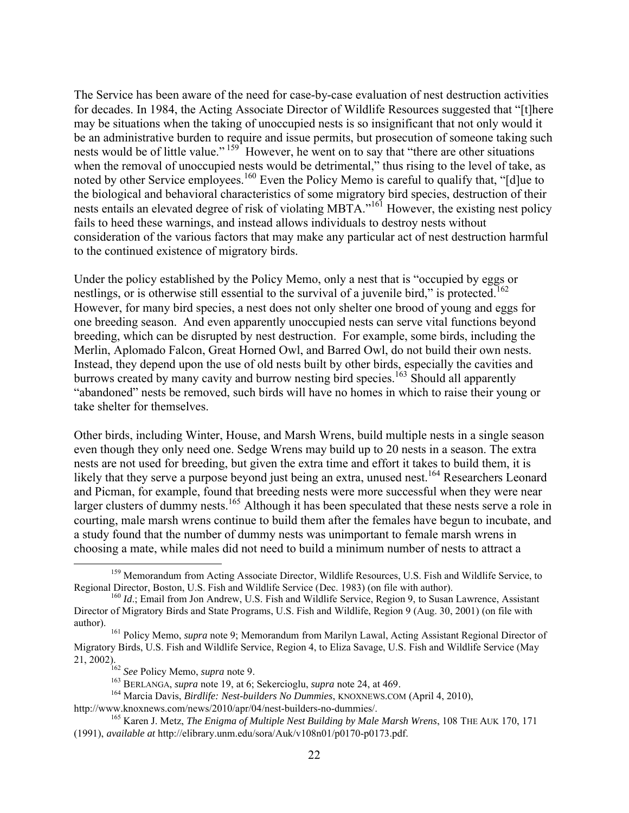The Service has been aware of the need for case-by-case evaluation of nest destruction activities for decades. In 1984, the Acting Associate Director of Wildlife Resources suggested that "[t]here may be situations when the taking of unoccupied nests is so insignificant that not only would it be an administrative burden to require and issue permits, but prosecution of someone taking such nests would be of little value."<sup>159</sup> However, he went on to say that "there are other situations" when the removal of unoccupied nests would be detrimental," thus rising to the level of take, as noted by other Service employees.<sup>160</sup> Even the Policy Memo is careful to qualify that, "[d]ue to the biological and behavioral characteristics of some migratory bird species, destruction of their nests entails an elevated degree of risk of violating MBTA."<sup>161</sup> However, the existing nest policy fails to heed these warnings, and instead allows individuals to destroy nests without consideration of the various factors that may make any particular act of nest destruction harmful to the continued existence of migratory birds.

Under the policy established by the Policy Memo, only a nest that is "occupied by eggs or nestlings, or is otherwise still essential to the survival of a juvenile bird," is protected.<sup>162</sup> However, for many bird species, a nest does not only shelter one brood of young and eggs for one breeding season. And even apparently unoccupied nests can serve vital functions beyond breeding, which can be disrupted by nest destruction. For example, some birds, including the Merlin, Aplomado Falcon, Great Horned Owl, and Barred Owl, do not build their own nests. Instead, they depend upon the use of old nests built by other birds, especially the cavities and burrows created by many cavity and burrow nesting bird species.<sup>163</sup> Should all apparently "abandoned" nests be removed, such birds will have no homes in which to raise their young or take shelter for themselves.

Other birds, including Winter, House, and Marsh Wrens, build multiple nests in a single season even though they only need one. Sedge Wrens may build up to 20 nests in a season. The extra nests are not used for breeding, but given the extra time and effort it takes to build them, it is likely that they serve a purpose beyond just being an extra, unused nest.<sup>164</sup> Researchers Leonard and Picman, for example, found that breeding nests were more successful when they were near larger clusters of dummy nests.<sup>165</sup> Although it has been speculated that these nests serve a role in courting, male marsh wrens continue to build them after the females have begun to incubate, and a study found that the number of dummy nests was unimportant to female marsh wrens in choosing a mate, while males did not need to build a minimum number of nests to attract a

<sup>&</sup>lt;sup>159</sup> Memorandum from Acting Associate Director, Wildlife Resources, U.S. Fish and Wildlife Service, to Regional Director, Boston, U.S. Fish and Wildlife Service (Dec. 1983) (on file with author).

<sup>&</sup>lt;sup>160</sup> *Id*.; Email from Jon Andrew, U.S. Fish and Wildlife Service, Region 9, to Susan Lawrence, Assistant Director of Migratory Birds and State Programs, U.S. Fish and Wildlife, Region 9 (Aug. 30, 2001) (on file with author).

<sup>161</sup> Policy Memo, *supra* note 9; Memorandum from Marilyn Lawal, Acting Assistant Regional Director of Migratory Birds, U.S. Fish and Wildlife Service, Region 4, to Eliza Savage, U.S. Fish and Wildlife Service (May 21, 2002).

<sup>162</sup> *See* Policy Memo, *supra* note 9.

<sup>163</sup> BERLANGA, *supra* note 19, at 6; Sekercioglu, *supra* note 24, at 469.

<sup>164</sup> Marcia Davis, *Birdlife: Nest-builders No Dummies*, KNOXNEWS.COM (April 4, 2010),

http://www.knoxnews.com/news/2010/apr/04/nest-builders-no-dummies/.

<sup>165</sup> Karen J. Metz, *The Enigma of Multiple Nest Building by Male Marsh Wrens*, 108 THE AUK 170, 171 (1991), *available at* http://elibrary.unm.edu/sora/Auk/v108n01/p0170-p0173.pdf.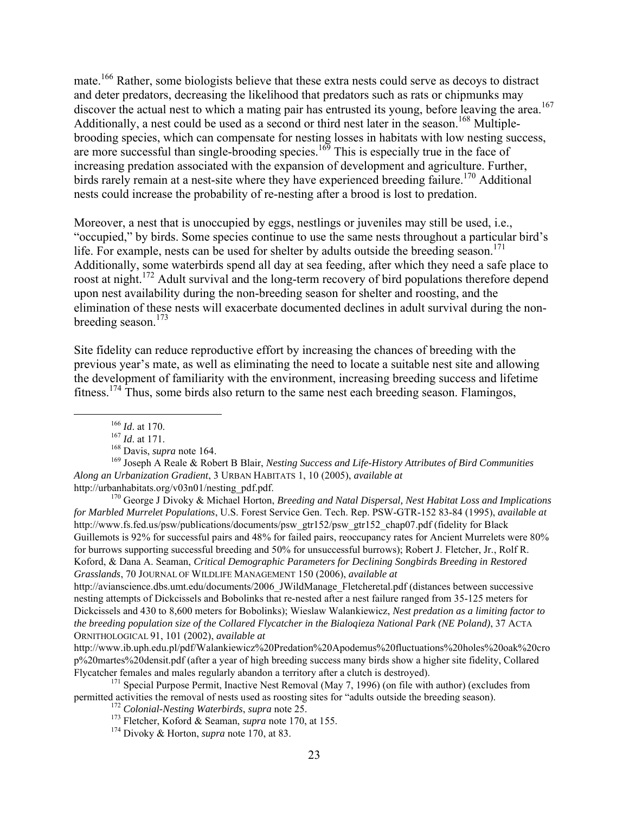mate.<sup>166</sup> Rather, some biologists believe that these extra nests could serve as decoys to distract and deter predators, decreasing the likelihood that predators such as rats or chipmunks may discover the actual nest to which a mating pair has entrusted its young, before leaving the area.<sup>167</sup> Additionally, a nest could be used as a second or third nest later in the season.<sup>168</sup> Multiplebrooding species, which can compensate for nesting losses in habitats with low nesting success, are more successful than single-brooding species.<sup>169</sup> This is especially true in the face of increasing predation associated with the expansion of development and agriculture. Further, birds rarely remain at a nest-site where they have experienced breeding failure.<sup>170</sup> Additional nests could increase the probability of re-nesting after a brood is lost to predation.

Moreover, a nest that is unoccupied by eggs, nestlings or juveniles may still be used, i.e., "occupied," by birds. Some species continue to use the same nests throughout a particular bird's life. For example, nests can be used for shelter by adults outside the breeding season.<sup>171</sup> Additionally, some waterbirds spend all day at sea feeding, after which they need a safe place to roost at night.<sup>172</sup> Adult survival and the long-term recovery of bird populations therefore depend upon nest availability during the non-breeding season for shelter and roosting, and the elimination of these nests will exacerbate documented declines in adult survival during the nonbreeding season. $173$ 

Site fidelity can reduce reproductive effort by increasing the chances of breeding with the previous year's mate, as well as eliminating the need to locate a suitable nest site and allowing the development of familiarity with the environment, increasing breeding success and lifetime fitness.174 Thus, some birds also return to the same nest each breeding season. Flamingos,

http://urbanhabitats.org/v03n01/nesting\_pdf.pdf.

<sup>170</sup> George J Divoky & Michael Horton, *Breeding and Natal Dispersal, Nest Habitat Loss and Implications for Marbled Murrelet Populations*, U.S. Forest Service Gen. Tech. Rep. PSW-GTR-152 83-84 (1995), *available at*  http://www.fs.fed.us/psw/publications/documents/psw\_gtr152/psw\_gtr152\_chap07.pdf (fidelity for Black Guillemots is 92% for successful pairs and 48% for failed pairs, reoccupancy rates for Ancient Murrelets were 80% for burrows supporting successful breeding and 50% for unsuccessful burrows); Robert J. Fletcher, Jr., Rolf R. Koford, & Dana A. Seaman, *Critical Demographic Parameters for Declining Songbirds Breeding in Restored Grasslands*, 70 JOURNAL OF WILDLIFE MANAGEMENT 150 (2006), *available at* 

http://avianscience.dbs.umt.edu/documents/2006\_JWildManage\_Fletcheretal.pdf (distances between successive nesting attempts of Dickcissels and Bobolinks that re-nested after a nest failure ranged from 35-125 meters for Dickcissels and 430 to 8,600 meters for Bobolinks); Wieslaw Walankiewicz, *Nest predation as a limiting factor to the breeding population size of the Collared Flycatcher in the Bialoqieza National Park (NE Poland)*, 37 ACTA ORNITHOLOGICAL 91, 101 (2002), *available at* 

http://www.ib.uph.edu.pl/pdf/Walankiewicz%20Predation%20Apodemus%20fluctuations%20holes%20oak%20cro p%20martes%20densit.pdf (after a year of high breeding success many birds show a higher site fidelity, Collared Flycatcher females and males regularly abandon a territory after a clutch is destroyed).

 $171$  Special Purpose Permit, Inactive Nest Removal (May 7, 1996) (on file with author) (excludes from permitted activities the removal of nests used as roosting sites for "adults outside the breeding season).

 <sup>166</sup> *Id*. at 170.

<sup>167</sup> *Id*. at 171.

<sup>168</sup> Davis, *supra* note 164.

<sup>169</sup> Joseph A Reale & Robert B Blair, *Nesting Success and Life-History Attributes of Bird Communities Along an Urbanization Gradient*, 3 URBAN HABITATS 1, 10 (2005), *available at* 

<sup>172</sup> *Colonial-Nesting Waterbirds*, *supra* note 25.

<sup>173</sup> Fletcher, Koford & Seaman, *supra* note 170, at 155.

<sup>174</sup> Divoky & Horton, *supra* note 170, at 83.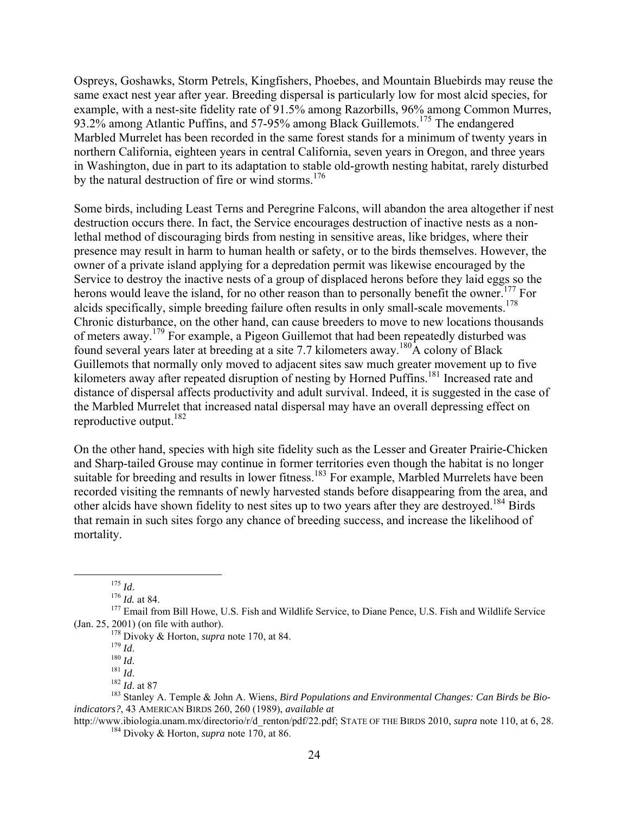Ospreys, Goshawks, Storm Petrels, Kingfishers, Phoebes, and Mountain Bluebirds may reuse the same exact nest year after year. Breeding dispersal is particularly low for most alcid species, for example, with a nest-site fidelity rate of 91.5% among Razorbills, 96% among Common Murres, 93.2% among Atlantic Puffins, and 57-95% among Black Guillemots.<sup>175</sup> The endangered Marbled Murrelet has been recorded in the same forest stands for a minimum of twenty years in northern California, eighteen years in central California, seven years in Oregon, and three years in Washington, due in part to its adaptation to stable old-growth nesting habitat, rarely disturbed by the natural destruction of fire or wind storms.<sup>176</sup>

Some birds, including Least Terns and Peregrine Falcons, will abandon the area altogether if nest destruction occurs there. In fact, the Service encourages destruction of inactive nests as a nonlethal method of discouraging birds from nesting in sensitive areas, like bridges, where their presence may result in harm to human health or safety, or to the birds themselves. However, the owner of a private island applying for a depredation permit was likewise encouraged by the Service to destroy the inactive nests of a group of displaced herons before they laid eggs so the herons would leave the island, for no other reason than to personally benefit the owner.<sup>177</sup> For alcids specifically, simple breeding failure often results in only small-scale movements.<sup>178</sup> Chronic disturbance, on the other hand, can cause breeders to move to new locations thousands of meters away.<sup>179</sup> For example, a Pigeon Guillemot that had been repeatedly disturbed was found several years later at breeding at a site 7.7 kilometers away.<sup>180</sup>A colony of Black Guillemots that normally only moved to adjacent sites saw much greater movement up to five kilometers away after repeated disruption of nesting by Horned Puffins.<sup>181</sup> Increased rate and distance of dispersal affects productivity and adult survival. Indeed, it is suggested in the case of the Marbled Murrelet that increased natal dispersal may have an overall depressing effect on reproductive output.<sup>182</sup>

On the other hand, species with high site fidelity such as the Lesser and Greater Prairie-Chicken and Sharp-tailed Grouse may continue in former territories even though the habitat is no longer suitable for breeding and results in lower fitness.<sup>183</sup> For example, Marbled Murrelets have been recorded visiting the remnants of newly harvested stands before disappearing from the area, and other alcids have shown fidelity to nest sites up to two years after they are destroyed.<sup>184</sup> Birds that remain in such sites forgo any chance of breeding success, and increase the likelihood of mortality.

<sup>175</sup> *Id*. 176 *Id.* at 84.

<sup>179</sup> *Id*.

<sup>180</sup> *Id*.

<sup>181</sup> *Id*. 182 *Id*. at 87

<sup>183</sup> Stanley A. Temple & John A. Wiens, *Bird Populations and Environmental Changes: Can Birds be Bioindicators?*, 43 AMERICAN BIRDS 260, 260 (1989), *available at* 

http://www.ibiologia.unam.mx/directorio/r/d\_renton/pdf/22.pdf; STATE OF THE BIRDS 2010, *supra* note 110, at 6, 28. <sup>184</sup> Divoky & Horton, *supra* note 170, at 86.

<sup>&</sup>lt;sup>177</sup> Email from Bill Howe, U.S. Fish and Wildlife Service, to Diane Pence, U.S. Fish and Wildlife Service (Jan. 25, 2001) (on file with author).

<sup>178</sup> Divoky & Horton, *supra* note 170, at 84.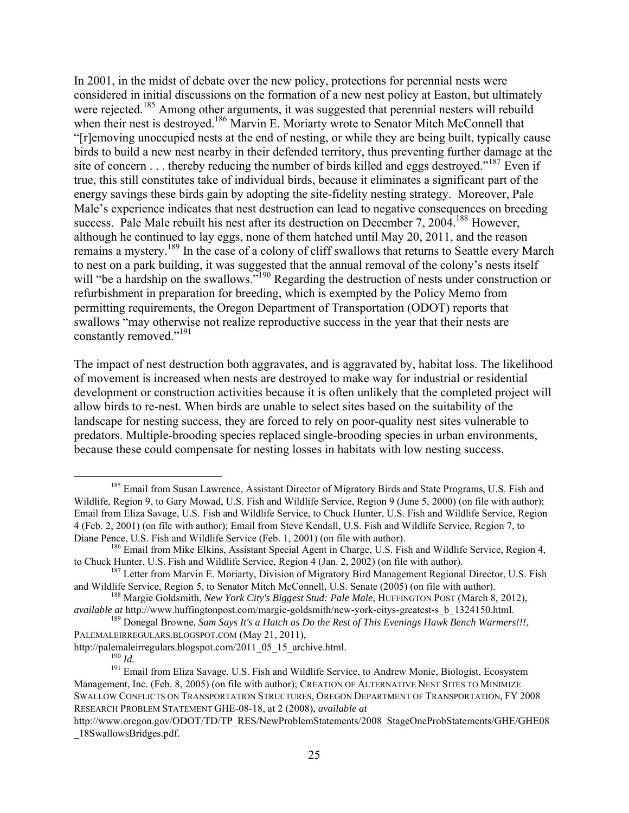In 2001, in the midst of debate over the new policy, protections for perennial nests were considered in initial discussions on the formation of a new nest policy at Easton, but ultimately were rejected.<sup>185</sup> Among other arguments, it was suggested that perennial nesters will rebuild when their nest is destroyed.<sup>186</sup> Marvin E. Moriarty wrote to Senator Mitch McConnell that "[r]emoving unoccupied nests at the end of nesting, or while they are being built, typically cause birds to build a new nest nearby in their defended territory, thus preventing further damage at the site of concern . . . thereby reducing the number of birds killed and eggs destroyed."<sup>187</sup> Even if true, this still constitutes take of individual birds, because it eliminates a significant part of the energy savings these birds gain by adopting the site-fidelity nesting strategy. Moreover, Pale Male's experience indicates that nest destruction can lead to negative consequences on breeding success. Pale Male rebuilt his nest after its destruction on December 7, 2004.<sup>188</sup> However, although he continued to lay eggs, none of them hatched until May 20, 2011, and the reason remains a mystery.<sup>189</sup> In the case of a colony of cliff swallows that returns to Seattle every March to nest on a park building, it was suggested that the annual removal of the colony's nests itself will "be a hardship on the swallows."<sup>190</sup> Regarding the destruction of nests under construction or refurbishment in preparation for breeding, which is exempted by the Policy Memo from permitting requirements, the Oregon Department of Transportation (ODOT) reports that swallows "may otherwise not realize reproductive success in the year that their nests are constantly removed."<sup>191</sup>

The impact of nest destruction both aggravates, and is aggravated by, habitat loss. The likelihood of movement is increased when nests are destroyed to make way for industrial or residential development or construction activities because it is often unlikely that the completed project will allow birds to re-nest. When birds are unable to select sites based on the suitability of the landscape for nesting success, they are forced to rely on poor-quality nest sites vulnerable to predators. Multiple-brooding species replaced single-brooding species in urban environments, because these could compensate for nesting losses in habitats with low nesting success.

<sup>&</sup>lt;sup>185</sup> Email from Susan Lawrence, Assistant Director of Migratory Birds and State Programs, U.S. Fish and Wildlife, Region 9, to Gary Mowad, U.S. Fish and Wildlife Service, Region 9 (June 5, 2000) (on file with author); Email from Eliza Savage, U.S. Fish and Wildlife Service, to Chuck Hunter, U.S. Fish and Wildlife Service, Region 4 (Feb. 2, 2001) (on file with author); Email from Steve Kendall, U.S. Fish and Wildlife Service, Region 7, to Diane Pence, U.S. Fish and Wildlife Service (Feb. 1, 2001) (on file with author).

<sup>&</sup>lt;sup>186</sup> Email from Mike Elkins, Assistant Special Agent in Charge, U.S. Fish and Wildlife Service, Region 4, to Chuck Hunter, U.S. Fish and Wildlife Service, Region 4 (Jan. 2, 2002) (on file with author).

<sup>&</sup>lt;sup>187</sup> Letter from Marvin E. Moriarty, Division of Migratory Bird Management Regional Director, U.S. Fish and Wildlife Service, Region 5, to Senator Mitch McConnell, U.S. Senate (2005) (on file with author).

<sup>188</sup> Margie Goldsmith, *New York City's Biggest Stud: Pale Male*, HUFFINGTON POST (March 8, 2012), *available at* http://www.huffingtonpost.com/margie-goldsmith/new-york-citys-greatest-s\_b\_1324150.html.

<sup>189</sup> Donegal Browne, *Sam Says It's a Hatch as Do the Rest of This Evenings Hawk Bench Warmers!!!*, PALEMALEIRREGULARS.BLOGSPOT.COM (May 21, 2011),

http://palemaleirregulars.blogspot.com/2011\_05\_15\_archive.html.

<sup>190</sup> *Id.*

<sup>&</sup>lt;sup>191</sup> Email from Eliza Savage, U.S. Fish and Wildlife Service, to Andrew Monie, Biologist, Ecosystem Management, Inc. (Feb. 8, 2005) (on file with author); CREATION OF ALTERNATIVE NEST SITES TO MINIMIZE SWALLOW CONFLICTS ON TRANSPORTATION STRUCTURES, OREGON DEPARTMENT OF TRANSPORTATION, FY 2008 RESEARCH PROBLEM STATEMENT GHE-08-18, at 2 (2008), *available at* 

http://www.oregon.gov/ODOT/TD/TP\_RES/NewProblemStatements/2008\_StageOneProbStatements/GHE/GHE08 \_18SwallowsBridges.pdf.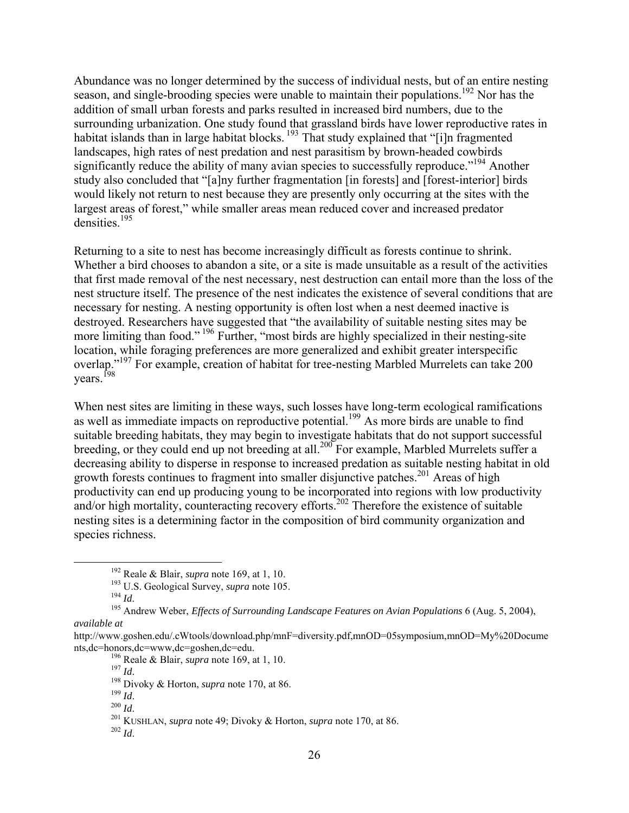Abundance was no longer determined by the success of individual nests, but of an entire nesting season, and single-brooding species were unable to maintain their populations.<sup>192</sup> Nor has the addition of small urban forests and parks resulted in increased bird numbers, due to the surrounding urbanization. One study found that grassland birds have lower reproductive rates in habitat islands than in large habitat blocks.<sup>193</sup> That study explained that "[i]n fragmented landscapes, high rates of nest predation and nest parasitism by brown-headed cowbirds significantly reduce the ability of many avian species to successfully reproduce."<sup>194</sup> Another study also concluded that "[a]ny further fragmentation [in forests] and [forest-interior] birds would likely not return to nest because they are presently only occurring at the sites with the largest areas of forest," while smaller areas mean reduced cover and increased predator densities<sup>195</sup>

Returning to a site to nest has become increasingly difficult as forests continue to shrink. Whether a bird chooses to abandon a site, or a site is made unsuitable as a result of the activities that first made removal of the nest necessary, nest destruction can entail more than the loss of the nest structure itself. The presence of the nest indicates the existence of several conditions that are necessary for nesting. A nesting opportunity is often lost when a nest deemed inactive is destroyed. Researchers have suggested that "the availability of suitable nesting sites may be more limiting than food."<sup>196</sup> Further, "most birds are highly specialized in their nesting-site location, while foraging preferences are more generalized and exhibit greater interspecific overlap."<sup>197</sup> For example, creation of habitat for tree-nesting Marbled Murrelets can take 200 years. <sup>[98</sup>

When nest sites are limiting in these ways, such losses have long-term ecological ramifications as well as immediate impacts on reproductive potential.<sup>199</sup> As more birds are unable to find suitable breeding habitats, they may begin to investigate habitats that do not support successful breeding, or they could end up not breeding at all.<sup>200</sup> For example, Marbled Murrelets suffer a decreasing ability to disperse in response to increased predation as suitable nesting habitat in old growth forests continues to fragment into smaller disjunctive patches.<sup>201</sup> Areas of high productivity can end up producing young to be incorporated into regions with low productivity and/or high mortality, counteracting recovery efforts.<sup>202</sup> Therefore the existence of suitable nesting sites is a determining factor in the composition of bird community organization and species richness.

 <sup>192</sup> Reale & Blair, *supra* note 169, at 1, 10.

<sup>193</sup> U.S. Geological Survey, *supra* note 105.

<sup>&</sup>lt;sup>195</sup> Andrew Weber, *Effects of Surrounding Landscape Features on Avian Populations* 6 (Aug. 5, 2004), *available at* 

http://www.goshen.edu/.cWtools/download.php/mnF=diversity.pdf,mnOD=05symposium,mnOD=My%20Docume nts,dc=honors,dc=www,dc=goshen,dc=edu.

<sup>196</sup> Reale & Blair, *supra* note 169, at 1, 10.

<sup>&</sup>lt;sup>198</sup> Divoky & Horton, *supra* note 170, at 86.<br><sup>199</sup> Id.

<sup>199</sup> *Id*. 200 *Id*. 201 KUSHLAN, *supra* note 49; Divoky & Horton, *supra* note 170, at 86.

 $^{202}$  *Id*.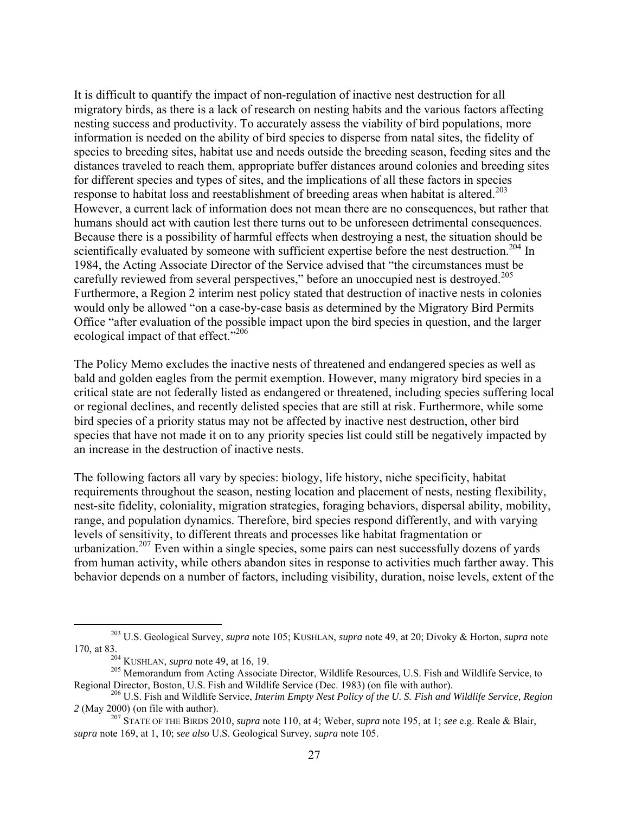It is difficult to quantify the impact of non-regulation of inactive nest destruction for all migratory birds, as there is a lack of research on nesting habits and the various factors affecting nesting success and productivity. To accurately assess the viability of bird populations, more information is needed on the ability of bird species to disperse from natal sites, the fidelity of species to breeding sites, habitat use and needs outside the breeding season, feeding sites and the distances traveled to reach them, appropriate buffer distances around colonies and breeding sites for different species and types of sites, and the implications of all these factors in species response to habitat loss and reestablishment of breeding areas when habitat is altered.<sup>203</sup> However, a current lack of information does not mean there are no consequences, but rather that humans should act with caution lest there turns out to be unforeseen detrimental consequences. Because there is a possibility of harmful effects when destroying a nest, the situation should be scientifically evaluated by someone with sufficient expertise before the nest destruction.<sup>204</sup> In 1984, the Acting Associate Director of the Service advised that "the circumstances must be carefully reviewed from several perspectives," before an unoccupied nest is destroyed.<sup>205</sup> Furthermore, a Region 2 interim nest policy stated that destruction of inactive nests in colonies would only be allowed "on a case-by-case basis as determined by the Migratory Bird Permits Office "after evaluation of the possible impact upon the bird species in question, and the larger ecological impact of that effect."<sup>206</sup>

The Policy Memo excludes the inactive nests of threatened and endangered species as well as bald and golden eagles from the permit exemption. However, many migratory bird species in a critical state are not federally listed as endangered or threatened, including species suffering local or regional declines, and recently delisted species that are still at risk. Furthermore, while some bird species of a priority status may not be affected by inactive nest destruction, other bird species that have not made it on to any priority species list could still be negatively impacted by an increase in the destruction of inactive nests.

The following factors all vary by species: biology, life history, niche specificity, habitat requirements throughout the season, nesting location and placement of nests, nesting flexibility, nest-site fidelity, coloniality, migration strategies, foraging behaviors, dispersal ability, mobility, range, and population dynamics. Therefore, bird species respond differently, and with varying levels of sensitivity, to different threats and processes like habitat fragmentation or urbanization.<sup>207</sup> Even within a single species, some pairs can nest successfully dozens of yards from human activity, while others abandon sites in response to activities much farther away. This behavior depends on a number of factors, including visibility, duration, noise levels, extent of the

 <sup>203</sup> U.S. Geological Survey, *supra* note 105; KUSHLAN, *supra* note 49, at 20; Divoky & Horton, *supra* note 170, at 83.

<sup>204</sup> KUSHLAN, *supra* note 49, at 16, 19.

<sup>&</sup>lt;sup>205</sup> Memorandum from Acting Associate Director, Wildlife Resources, U.S. Fish and Wildlife Service, to Regional Director, Boston, U.S. Fish and Wildlife Service (Dec. 1983) (on file with author).

<sup>206</sup> U.S. Fish and Wildlife Service, *Interim Empty Nest Policy of the U. S. Fish and Wildlife Service, Region 2* (May 2000) (on file with author).

<sup>207</sup> STATE OF THE BIRDS 2010, *supra* note 110, at 4; Weber, *supra* note 195, at 1; *see* e.g. Reale & Blair, *supra* note 169, at 1, 10; *see also* U.S. Geological Survey, *supra* note 105.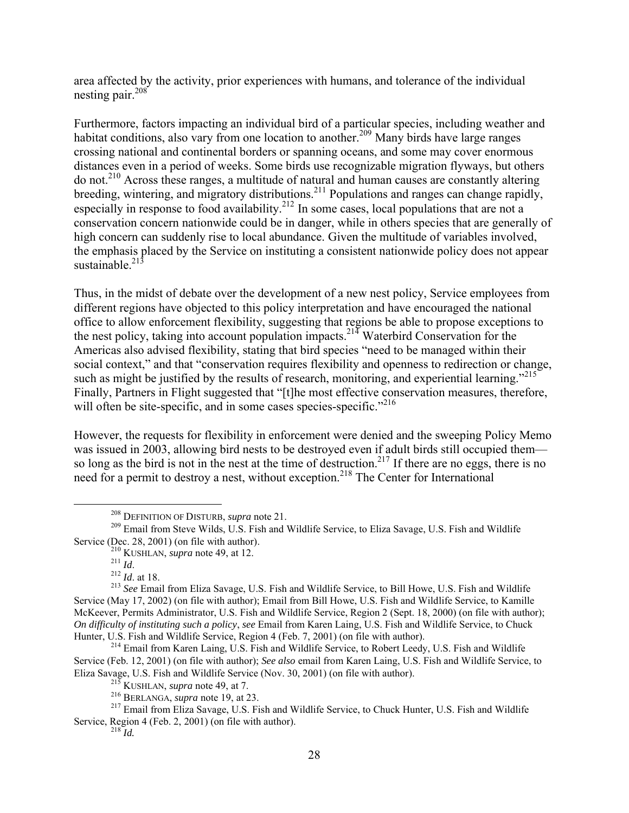area affected by the activity, prior experiences with humans, and tolerance of the individual nesting pair.<sup>208</sup>

Furthermore, factors impacting an individual bird of a particular species, including weather and habitat conditions, also vary from one location to another.<sup>209</sup> Many birds have large ranges crossing national and continental borders or spanning oceans, and some may cover enormous distances even in a period of weeks. Some birds use recognizable migration flyways, but others do not.<sup>210</sup> Across these ranges, a multitude of natural and human causes are constantly altering breeding, wintering, and migratory distributions.<sup>211</sup> Populations and ranges can change rapidly, especially in response to food availability.<sup>212</sup> In some cases, local populations that are not a conservation concern nationwide could be in danger, while in others species that are generally of high concern can suddenly rise to local abundance. Given the multitude of variables involved, the emphasis placed by the Service on instituting a consistent nationwide policy does not appear sustainable. $^{213}$ 

Thus, in the midst of debate over the development of a new nest policy, Service employees from different regions have objected to this policy interpretation and have encouraged the national office to allow enforcement flexibility, suggesting that regions be able to propose exceptions to the nest policy, taking into account population impacts.<sup>214</sup> Waterbird Conservation for the Americas also advised flexibility, stating that bird species "need to be managed within their social context," and that "conservation requires flexibility and openness to redirection or change, such as might be justified by the results of research, monitoring, and experiential learning."<sup>215</sup> Finally, Partners in Flight suggested that "[t]he most effective conservation measures, therefore, will often be site-specific, and in some cases species-specific."<sup>216</sup>

However, the requests for flexibility in enforcement were denied and the sweeping Policy Memo was issued in 2003, allowing bird nests to be destroyed even if adult birds still occupied them so long as the bird is not in the nest at the time of destruction.<sup>217</sup> If there are no eggs, there is no need for a permit to destroy a nest, without exception.<sup>218</sup> The Center for International

 <sup>208</sup> DEFINITION OF DISTURB, *supra* note 21.

<sup>&</sup>lt;sup>209</sup> Email from Steve Wilds, U.S. Fish and Wildlife Service, to Eliza Savage, U.S. Fish and Wildlife Service (Dec. 28, 2001) (on file with author).

<sup>210</sup> KUSHLAN, *supra* note 49, at 12. <sup>211</sup> *Id*. 212 *Id*. at 18.

<sup>213</sup> *See* Email from Eliza Savage, U.S. Fish and Wildlife Service, to Bill Howe, U.S. Fish and Wildlife Service (May 17, 2002) (on file with author); Email from Bill Howe, U.S. Fish and Wildlife Service, to Kamille McKeever, Permits Administrator, U.S. Fish and Wildlife Service, Region 2 (Sept. 18, 2000) (on file with author); *On difficulty of instituting such a policy*, *see* Email from Karen Laing, U.S. Fish and Wildlife Service, to Chuck Hunter, U.S. Fish and Wildlife Service, Region 4 (Feb. 7, 2001) (on file with author).

<sup>&</sup>lt;sup>214</sup> Email from Karen Laing, U.S. Fish and Wildlife Service, to Robert Leedy, U.S. Fish and Wildlife Service (Feb. 12, 2001) (on file with author); *See also* email from Karen Laing, U.S. Fish and Wildlife Service, to Eliza Savage, U.S. Fish and Wildlife Service (Nov. 30, 2001) (on file with author).

 $^{215}$  KUSHLAN, *supra* note 49, at 7.

<sup>216</sup> BERLANGA, *supra* note 19, at 23.

<sup>&</sup>lt;sup>217</sup> Email from Eliza Savage, U.S. Fish and Wildlife Service, to Chuck Hunter, U.S. Fish and Wildlife Service, Region 4 (Feb. 2, 2001) (on file with author).

 $^{218}$ *Id.*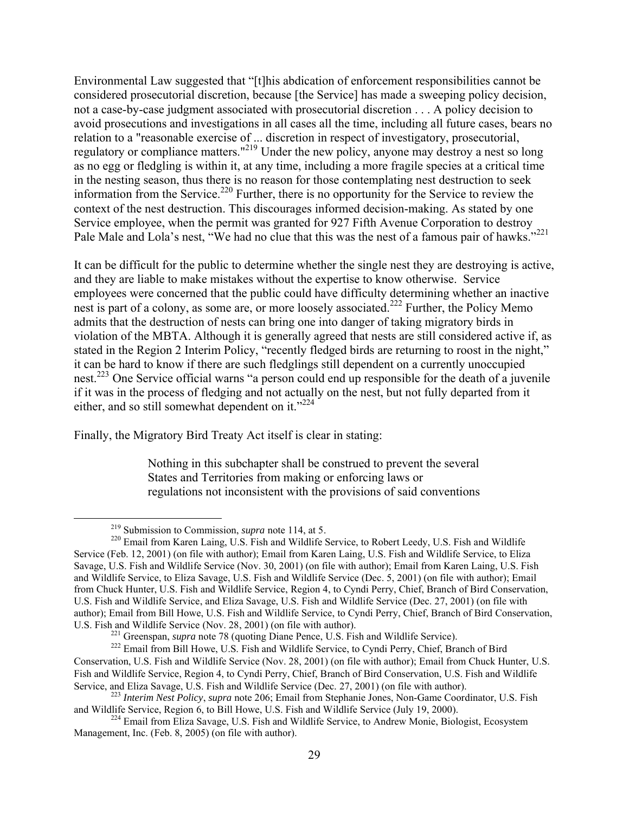Environmental Law suggested that "[t]his abdication of enforcement responsibilities cannot be considered prosecutorial discretion, because [the Service] has made a sweeping policy decision, not a case-by-case judgment associated with prosecutorial discretion . . . A policy decision to avoid prosecutions and investigations in all cases all the time, including all future cases, bears no relation to a "reasonable exercise of ... discretion in respect of investigatory, prosecutorial, regulatory or compliance matters."219 Under the new policy, anyone may destroy a nest so long as no egg or fledgling is within it, at any time, including a more fragile species at a critical time in the nesting season, thus there is no reason for those contemplating nest destruction to seek information from the Service.<sup>220</sup> Further, there is no opportunity for the Service to review the context of the nest destruction. This discourages informed decision-making. As stated by one Service employee, when the permit was granted for 927 Fifth Avenue Corporation to destroy Pale Male and Lola's nest, "We had no clue that this was the nest of a famous pair of hawks."<sup>221</sup>

It can be difficult for the public to determine whether the single nest they are destroying is active, and they are liable to make mistakes without the expertise to know otherwise. Service employees were concerned that the public could have difficulty determining whether an inactive nest is part of a colony, as some are, or more loosely associated.<sup>222</sup> Further, the Policy Memo admits that the destruction of nests can bring one into danger of taking migratory birds in violation of the MBTA. Although it is generally agreed that nests are still considered active if, as stated in the Region 2 Interim Policy, "recently fledged birds are returning to roost in the night," it can be hard to know if there are such fledglings still dependent on a currently unoccupied nest.223 One Service official warns "a person could end up responsible for the death of a juvenile if it was in the process of fledging and not actually on the nest, but not fully departed from it either, and so still somewhat dependent on it."<sup>224</sup>

Finally, the Migratory Bird Treaty Act itself is clear in stating:

Nothing in this subchapter shall be construed to prevent the several States and Territories from making or enforcing laws or regulations not inconsistent with the provisions of said conventions

 <sup>219</sup> Submission to Commission, *supra* note 114, at 5.

<sup>&</sup>lt;sup>220</sup> Email from Karen Laing, U.S. Fish and Wildlife Service, to Robert Leedy, U.S. Fish and Wildlife Service (Feb. 12, 2001) (on file with author); Email from Karen Laing, U.S. Fish and Wildlife Service, to Eliza Savage, U.S. Fish and Wildlife Service (Nov. 30, 2001) (on file with author); Email from Karen Laing, U.S. Fish and Wildlife Service, to Eliza Savage, U.S. Fish and Wildlife Service (Dec. 5, 2001) (on file with author); Email from Chuck Hunter, U.S. Fish and Wildlife Service, Region 4, to Cyndi Perry, Chief, Branch of Bird Conservation, U.S. Fish and Wildlife Service, and Eliza Savage, U.S. Fish and Wildlife Service (Dec. 27, 2001) (on file with author); Email from Bill Howe, U.S. Fish and Wildlife Service, to Cyndi Perry, Chief, Branch of Bird Conservation, U.S. Fish and Wildlife Service (Nov. 28, 2001) (on file with author).

 $^{221}$  Greenspan, *supra* note 78 (quoting Diane Pence, U.S. Fish and Wildlife Service).<br><sup>222</sup> Email from Bill Howe, U.S. Fish and Wildlife Service, to Cyndi Perry, Chief, Branch of Bird Conservation, U.S. Fish and Wildlife Service (Nov. 28, 2001) (on file with author); Email from Chuck Hunter, U.S. Fish and Wildlife Service, Region 4, to Cyndi Perry, Chief, Branch of Bird Conservation, U.S. Fish and Wildlife Service, and Eliza Savage, U.S. Fish and Wildlife Service (Dec. 27, 2001) (on file with author).

<sup>&</sup>lt;sup>223</sup> *Interim Nest Policy, supra* note 206; Email from Stephanie Jones, Non-Game Coordinator, U.S. Fish and Wildlife Service, Region 6, to Bill Howe, U.S. Fish and Wildlife Service (July 19, 2000).

<sup>&</sup>lt;sup>224</sup> Email from Eliza Savage, U.S. Fish and Wildlife Service, to Andrew Monie, Biologist, Ecosystem Management, Inc. (Feb. 8, 2005) (on file with author).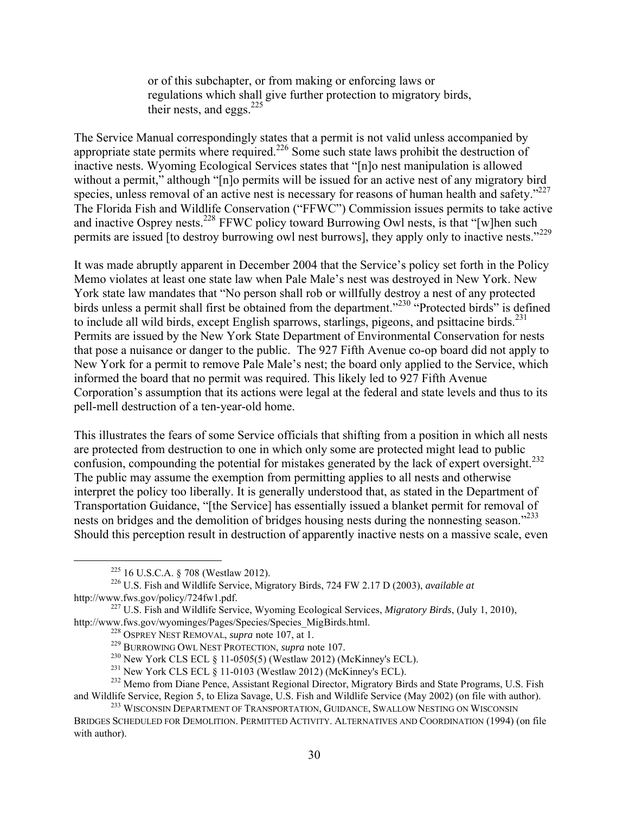or of this subchapter, or from making or enforcing laws or regulations which shall give further protection to migratory birds, their nests, and eggs. $^{225}$ 

The Service Manual correspondingly states that a permit is not valid unless accompanied by appropriate state permits where required.<sup>226</sup> Some such state laws prohibit the destruction of inactive nests. Wyoming Ecological Services states that "[n]o nest manipulation is allowed without a permit," although "[n]o permits will be issued for an active nest of any migratory bird species, unless removal of an active nest is necessary for reasons of human health and safety."<sup>227</sup> The Florida Fish and Wildlife Conservation ("FFWC") Commission issues permits to take active and inactive Osprey nests.<sup>228</sup> FFWC policy toward Burrowing Owl nests, is that "[w]hen such permits are issued [to destroy burrowing owl nest burrows], they apply only to inactive nests."<sup>229</sup>

It was made abruptly apparent in December 2004 that the Service's policy set forth in the Policy Memo violates at least one state law when Pale Male's nest was destroyed in New York. New York state law mandates that "No person shall rob or willfully destroy a nest of any protected birds unless a permit shall first be obtained from the department."<sup>230</sup> "Protected birds" is defined to include all wild birds, except English sparrows, starlings, pigeons, and psittacine birds.<sup>231</sup> Permits are issued by the New York State Department of Environmental Conservation for nests that pose a nuisance or danger to the public. The 927 Fifth Avenue co-op board did not apply to New York for a permit to remove Pale Male's nest; the board only applied to the Service, which informed the board that no permit was required. This likely led to 927 Fifth Avenue Corporation's assumption that its actions were legal at the federal and state levels and thus to its pell-mell destruction of a ten-year-old home.

This illustrates the fears of some Service officials that shifting from a position in which all nests are protected from destruction to one in which only some are protected might lead to public confusion, compounding the potential for mistakes generated by the lack of expert oversight.<sup>232</sup> The public may assume the exemption from permitting applies to all nests and otherwise interpret the policy too liberally. It is generally understood that, as stated in the Department of Transportation Guidance, "[the Service] has essentially issued a blanket permit for removal of nests on bridges and the demolition of bridges housing nests during the nonnesting season."<sup>233</sup> Should this perception result in destruction of apparently inactive nests on a massive scale, even

 $225$  16 U.S.C.A. § 708 (Westlaw 2012).

<sup>226</sup> U.S. Fish and Wildlife Service, Migratory Birds, 724 FW 2.17 D (2003), *available at* http://www.fws.gov/policy/724fw1.pdf.

<sup>227</sup> U.S. Fish and Wildlife Service, Wyoming Ecological Services, *Migratory Birds*, (July 1, 2010), http://www.fws.gov/wyominges/Pages/Species/Species\_MigBirds.html.

<sup>228</sup> OSPREY NEST REMOVAL, *supra* note 107, at 1.

<sup>229</sup> BURROWING OWL NEST PROTECTION, *supra* note 107.

 $^{230}$  New York CLS ECL § 11-0505(5) (Westlaw 2012) (McKinney's ECL).

<sup>&</sup>lt;sup>231</sup> New York CLS ECL  $\S$  11-0103 (Westlaw 2012) (McKinney's ECL).

<sup>&</sup>lt;sup>232</sup> Memo from Diane Pence, Assistant Regional Director, Migratory Birds and State Programs, U.S. Fish and Wildlife Service, Region 5, to Eliza Savage, U.S. Fish and Wildlife Service (May 2002) (on file with author).

<sup>&</sup>lt;sup>233</sup> WISCONSIN DEPARTMENT OF TRANSPORTATION, GUIDANCE, SWALLOW NESTING ON WISCONSIN BRIDGES SCHEDULED FOR DEMOLITION. PERMITTED ACTIVITY. ALTERNATIVES AND COORDINATION (1994) (on file with author).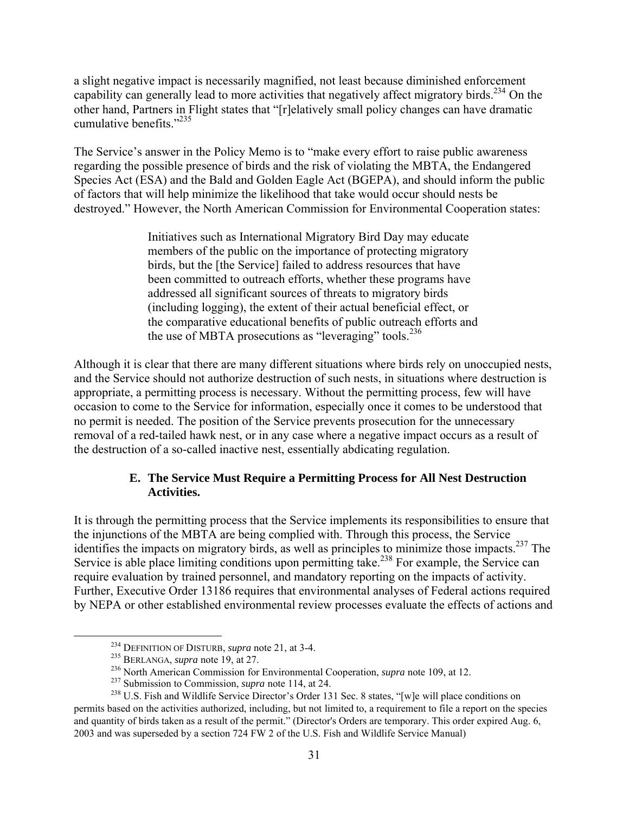a slight negative impact is necessarily magnified, not least because diminished enforcement capability can generally lead to more activities that negatively affect migratory birds.<sup>234</sup> On the other hand, Partners in Flight states that "[r]elatively small policy changes can have dramatic cumulative benefits."<sup>235</sup>

The Service's answer in the Policy Memo is to "make every effort to raise public awareness regarding the possible presence of birds and the risk of violating the MBTA, the Endangered Species Act (ESA) and the Bald and Golden Eagle Act (BGEPA), and should inform the public of factors that will help minimize the likelihood that take would occur should nests be destroyed." However, the North American Commission for Environmental Cooperation states:

> Initiatives such as International Migratory Bird Day may educate members of the public on the importance of protecting migratory birds, but the [the Service] failed to address resources that have been committed to outreach efforts, whether these programs have addressed all significant sources of threats to migratory birds (including logging), the extent of their actual beneficial effect, or the comparative educational benefits of public outreach efforts and the use of MBTA prosecutions as "leveraging" tools.<sup>236</sup>

Although it is clear that there are many different situations where birds rely on unoccupied nests, and the Service should not authorize destruction of such nests, in situations where destruction is appropriate, a permitting process is necessary. Without the permitting process, few will have occasion to come to the Service for information, especially once it comes to be understood that no permit is needed. The position of the Service prevents prosecution for the unnecessary removal of a red-tailed hawk nest, or in any case where a negative impact occurs as a result of the destruction of a so-called inactive nest, essentially abdicating regulation.

# **E. The Service Must Require a Permitting Process for All Nest Destruction Activities.**

It is through the permitting process that the Service implements its responsibilities to ensure that the injunctions of the MBTA are being complied with. Through this process, the Service identifies the impacts on migratory birds, as well as principles to minimize those impacts.237 The Service is able place limiting conditions upon permitting take.<sup>238</sup> For example, the Service can require evaluation by trained personnel, and mandatory reporting on the impacts of activity. Further, Executive Order 13186 requires that environmental analyses of Federal actions required by NEPA or other established environmental review processes evaluate the effects of actions and

 <sup>234</sup> DEFINITION OF DISTURB, *supra* note 21, at 3-4.

<sup>235</sup> BERLANGA, *supra* note 19, at 27.

<sup>236</sup> North American Commission for Environmental Cooperation, *supra* note 109, at 12.

<sup>237</sup> Submission to Commission, *supra* note 114, at 24.

<sup>&</sup>lt;sup>238</sup> U.S. Fish and Wildlife Service Director's Order 131 Sec. 8 states, "[w]e will place conditions on permits based on the activities authorized, including, but not limited to, a requirement to file a report on the species and quantity of birds taken as a result of the permit." (Director's Orders are temporary. This order expired Aug. 6, 2003 and was superseded by a section 724 FW 2 of the U.S. Fish and Wildlife Service Manual)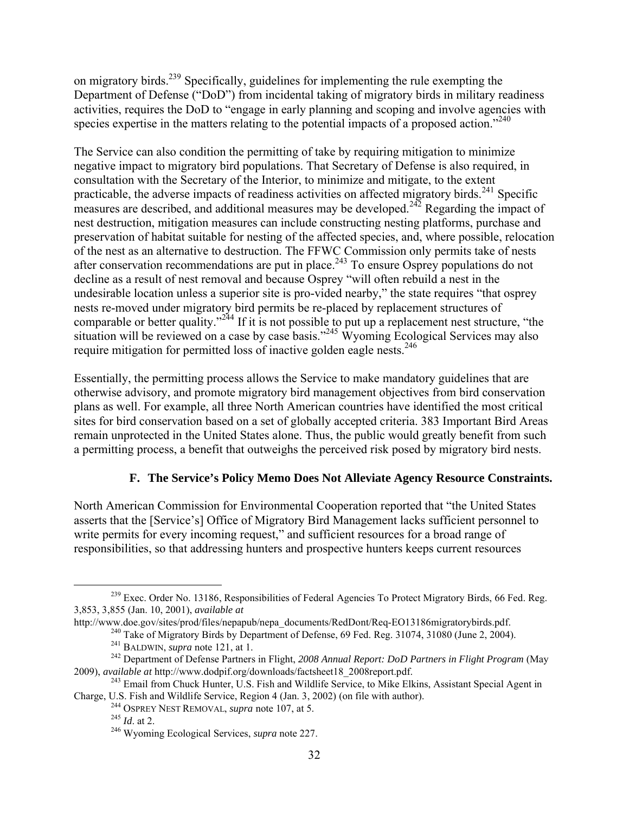on migratory birds.<sup>239</sup> Specifically, guidelines for implementing the rule exempting the Department of Defense ("DoD") from incidental taking of migratory birds in military readiness activities, requires the DoD to "engage in early planning and scoping and involve agencies with species expertise in the matters relating to the potential impacts of a proposed action."<sup>240</sup>

The Service can also condition the permitting of take by requiring mitigation to minimize negative impact to migratory bird populations. That Secretary of Defense is also required, in consultation with the Secretary of the Interior, to minimize and mitigate, to the extent practicable, the adverse impacts of readiness activities on affected migratory birds.<sup>241</sup> Specific measures are described, and additional measures may be developed.<sup>242</sup> Regarding the impact of nest destruction, mitigation measures can include constructing nesting platforms, purchase and preservation of habitat suitable for nesting of the affected species, and, where possible, relocation of the nest as an alternative to destruction. The FFWC Commission only permits take of nests after conservation recommendations are put in place.<sup>243</sup> To ensure Osprey populations do not decline as a result of nest removal and because Osprey "will often rebuild a nest in the undesirable location unless a superior site is pro-vided nearby," the state requires "that osprey nests re-moved under migratory bird permits be re-placed by replacement structures of comparable or better quality."<sup>244</sup> If it is not possible to put up a replacement nest structure, "the situation will be reviewed on a case by case basis."<sup>245</sup> Wyoming Ecological Services may also require mitigation for permitted loss of inactive golden eagle nests.<sup>246</sup>

Essentially, the permitting process allows the Service to make mandatory guidelines that are otherwise advisory, and promote migratory bird management objectives from bird conservation plans as well. For example, all three North American countries have identified the most critical sites for bird conservation based on a set of globally accepted criteria. 383 Important Bird Areas remain unprotected in the United States alone. Thus, the public would greatly benefit from such a permitting process, a benefit that outweighs the perceived risk posed by migratory bird nests.

# **F. The Service's Policy Memo Does Not Alleviate Agency Resource Constraints.**

North American Commission for Environmental Cooperation reported that "the United States asserts that the [Service's] Office of Migratory Bird Management lacks sufficient personnel to write permits for every incoming request," and sufficient resources for a broad range of responsibilities, so that addressing hunters and prospective hunters keeps current resources

 $^{239}$  Exec. Order No. 13186, Responsibilities of Federal Agencies To Protect Migratory Birds, 66 Fed. Reg. 3,853, 3,855 (Jan. 10, 2001), *available at*

http://www.doe.gov/sites/prod/files/nepapub/nepa\_documents/RedDont/Req-EO13186migratorybirds.pdf.

<sup>&</sup>lt;sup>240</sup> Take of Migratory Birds by Department of Defense, 69 Fed. Reg. 31074, 31080 (June 2, 2004).<br><sup>241</sup> BALDWIN, *supra* note 121, at 1.

<sup>&</sup>lt;sup>242</sup> Department of Defense Partners in Flight, 2008 Annual Report: DoD Partners in Flight Program (May 2009), *available at* http://www.dodpif.org/downloads/factsheet18\_2008report.pdf.

<sup>&</sup>lt;sup>243</sup> Email from Chuck Hunter, U.S. Fish and Wildlife Service, to Mike Elkins, Assistant Special Agent in Charge, U.S. Fish and Wildlife Service, Region 4 (Jan. 3, 2002) (on file with author). 244 OSPREY NEST REMOVAL, *supra* note 107, at 5.

<sup>245</sup> *Id*. at 2.

<sup>246</sup> Wyoming Ecological Services, *supra* note 227.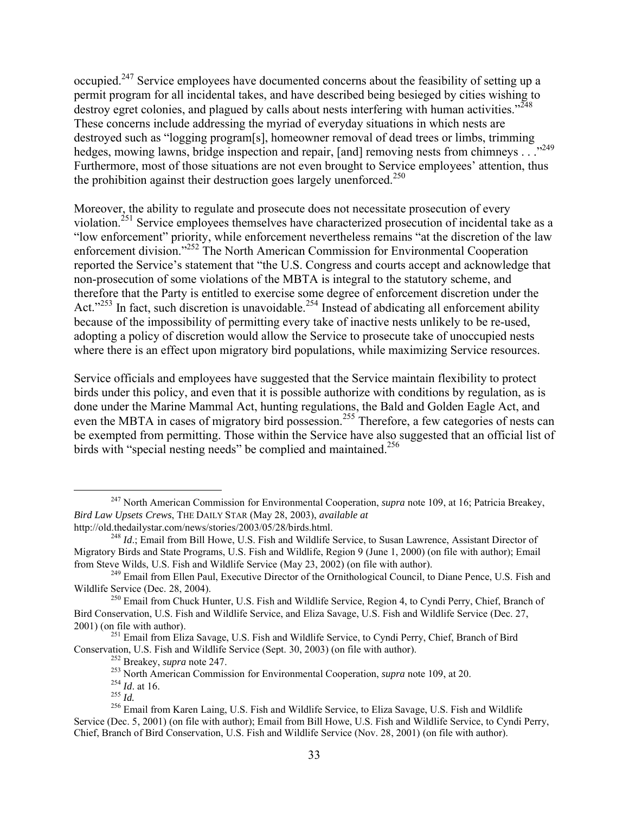occupied.247 Service employees have documented concerns about the feasibility of setting up a permit program for all incidental takes, and have described being besieged by cities wishing to destroy egret colonies, and plagued by calls about nests interfering with human activities."<sup>248</sup> These concerns include addressing the myriad of everyday situations in which nests are destroyed such as "logging program[s], homeowner removal of dead trees or limbs, trimming hedges, mowing lawns, bridge inspection and repair, [and] removing nests from chimneys . . ."249 Furthermore, most of those situations are not even brought to Service employees' attention, thus the prohibition against their destruction goes largely unenforced.<sup>250</sup>

Moreover, the ability to regulate and prosecute does not necessitate prosecution of every violation.<sup>251</sup> Service employees themselves have characterized prosecution of incidental take as a "low enforcement" priority, while enforcement nevertheless remains "at the discretion of the law enforcement division."252 The North American Commission for Environmental Cooperation reported the Service's statement that "the U.S. Congress and courts accept and acknowledge that non-prosecution of some violations of the MBTA is integral to the statutory scheme, and therefore that the Party is entitled to exercise some degree of enforcement discretion under the Act."<sup>253</sup> In fact, such discretion is unavoidable.<sup>254</sup> Instead of abdicating all enforcement ability because of the impossibility of permitting every take of inactive nests unlikely to be re-used, adopting a policy of discretion would allow the Service to prosecute take of unoccupied nests where there is an effect upon migratory bird populations, while maximizing Service resources.

Service officials and employees have suggested that the Service maintain flexibility to protect birds under this policy, and even that it is possible authorize with conditions by regulation, as is done under the Marine Mammal Act, hunting regulations, the Bald and Golden Eagle Act, and even the MBTA in cases of migratory bird possession.<sup>255</sup> Therefore, a few categories of nests can be exempted from permitting. Those within the Service have also suggested that an official list of birds with "special nesting needs" be complied and maintained.<sup>256</sup>

<sup>251</sup> Email from Eliza Savage, U.S. Fish and Wildlife Service, to Cyndi Perry, Chief, Branch of Bird Conservation, U.S. Fish and Wildlife Service (Sept. 30, 2003) (on file with author).

 <sup>247</sup> North American Commission for Environmental Cooperation, *supra* note 109, at 16; Patricia Breakey, *Bird Law Upsets Crews*, THE DAILY STAR (May 28, 2003), *available at*  http://old.thedailystar.com/news/stories/2003/05/28/birds.html.

<sup>&</sup>lt;sup>248</sup> *Id.*; Email from Bill Howe, U.S. Fish and Wildlife Service, to Susan Lawrence, Assistant Director of Migratory Birds and State Programs, U.S. Fish and Wildlife, Region 9 (June 1, 2000) (on file with author); Email from Steve Wilds, U.S. Fish and Wildlife Service (May 23, 2002) (on file with author).

<sup>&</sup>lt;sup>249</sup> Email from Ellen Paul, Executive Director of the Ornithological Council, to Diane Pence, U.S. Fish and Wildlife Service (Dec. 28, 2004).

<sup>&</sup>lt;sup>250</sup> Email from Chuck Hunter, U.S. Fish and Wildlife Service, Region 4, to Cyndi Perry, Chief, Branch of Bird Conservation, U.S. Fish and Wildlife Service, and Eliza Savage, U.S. Fish and Wildlife Service (Dec. 27, 2001) (on file with author).

<sup>252</sup> Breakey, *supra* note 247.

<sup>253</sup> North American Commission for Environmental Cooperation, *supra* note 109, at 20.

<sup>254</sup> *Id*. at 16.

<sup>255</sup> *Id.*

<sup>256</sup> Email from Karen Laing, U.S. Fish and Wildlife Service, to Eliza Savage, U.S. Fish and Wildlife Service (Dec. 5, 2001) (on file with author); Email from Bill Howe, U.S. Fish and Wildlife Service, to Cyndi Perry, Chief, Branch of Bird Conservation, U.S. Fish and Wildlife Service (Nov. 28, 2001) (on file with author).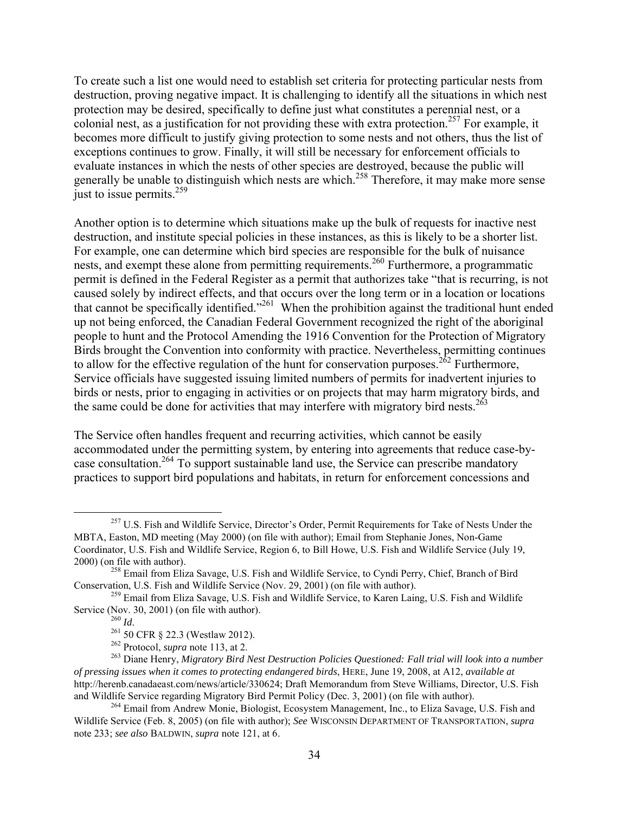To create such a list one would need to establish set criteria for protecting particular nests from destruction, proving negative impact. It is challenging to identify all the situations in which nest protection may be desired, specifically to define just what constitutes a perennial nest, or a colonial nest, as a justification for not providing these with extra protection.<sup>257</sup> For example, it becomes more difficult to justify giving protection to some nests and not others, thus the list of exceptions continues to grow. Finally, it will still be necessary for enforcement officials to evaluate instances in which the nests of other species are destroyed, because the public will generally be unable to distinguish which nests are which.<sup>258</sup> Therefore, it may make more sense just to issue permits. $259$ 

Another option is to determine which situations make up the bulk of requests for inactive nest destruction, and institute special policies in these instances, as this is likely to be a shorter list. For example, one can determine which bird species are responsible for the bulk of nuisance nests, and exempt these alone from permitting requirements.<sup>260</sup> Furthermore, a programmatic permit is defined in the Federal Register as a permit that authorizes take "that is recurring, is not caused solely by indirect effects, and that occurs over the long term or in a location or locations that cannot be specifically identified."261 When the prohibition against the traditional hunt ended up not being enforced, the Canadian Federal Government recognized the right of the aboriginal people to hunt and the Protocol Amending the 1916 Convention for the Protection of Migratory Birds brought the Convention into conformity with practice. Nevertheless, permitting continues to allow for the effective regulation of the hunt for conservation purposes.<sup>262</sup> Furthermore, Service officials have suggested issuing limited numbers of permits for inadvertent injuries to birds or nests, prior to engaging in activities or on projects that may harm migratory birds, and the same could be done for activities that may interfere with migratory bird nests.<sup>263</sup>

The Service often handles frequent and recurring activities, which cannot be easily accommodated under the permitting system, by entering into agreements that reduce case-bycase consultation.<sup>264</sup> To support sustainable land use, the Service can prescribe mandatory practices to support bird populations and habitats, in return for enforcement concessions and

<sup>&</sup>lt;sup>257</sup> U.S. Fish and Wildlife Service, Director's Order, Permit Requirements for Take of Nests Under the MBTA, Easton, MD meeting (May 2000) (on file with author); Email from Stephanie Jones, Non-Game Coordinator, U.S. Fish and Wildlife Service, Region 6, to Bill Howe, U.S. Fish and Wildlife Service (July 19, 2000) (on file with author).

<sup>&</sup>lt;sup>258</sup> Email from Eliza Savage, U.S. Fish and Wildlife Service, to Cyndi Perry, Chief, Branch of Bird Conservation, U.S. Fish and Wildlife Service (Nov. 29, 2001) (on file with author).

 $^{259}$  Email from Eliza Savage, U.S. Fish and Wildlife Service, to Karen Laing, U.S. Fish and Wildlife Service (Nov. 30, 2001) (on file with author).<br> $\frac{^{260} \text{Id}}{1}$ 

<sup>&</sup>lt;sup>261</sup> 50 CFR § 22.3 (Westlaw 2012).

<sup>262</sup> Protocol, *supra* note 113, at 2.

<sup>263</sup> Diane Henry, *Migratory Bird Nest Destruction Policies Questioned: Fall trial will look into a number of pressing issues when it comes to protecting endangered birds*, HERE, June 19, 2008, at A12, *available at* http://herenb.canadaeast.com/news/article/330624; Draft Memorandum from Steve Williams, Director, U.S. Fish and Wildlife Service regarding Migratory Bird Permit Policy (Dec. 3, 2001) (on file with author).

<sup>&</sup>lt;sup>264</sup> Email from Andrew Monie, Biologist, Ecosystem Management, Inc., to Eliza Savage, U.S. Fish and Wildlife Service (Feb. 8, 2005) (on file with author); *See* WISCONSIN DEPARTMENT OF TRANSPORTATION, *supra*  note 233; *see also* BALDWIN, *supra* note 121, at 6.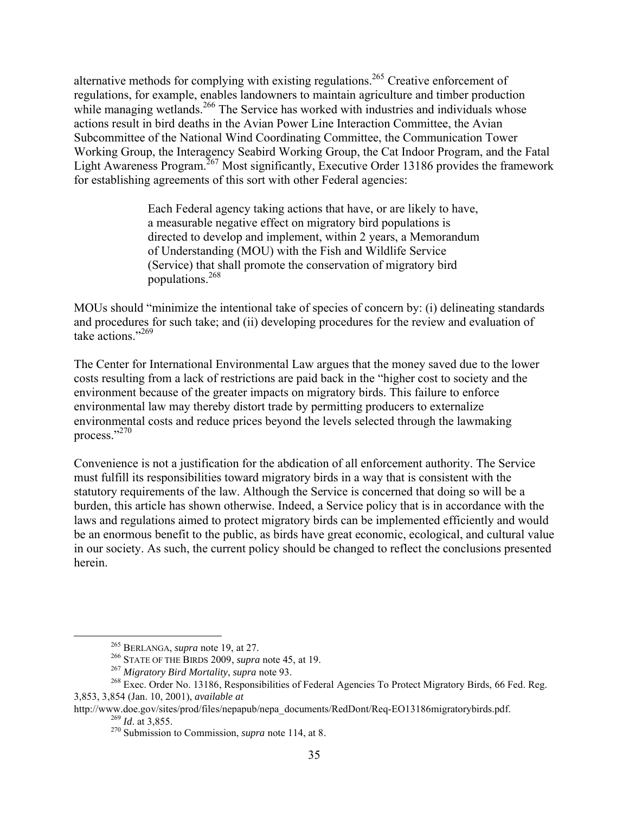alternative methods for complying with existing regulations.<sup>265</sup> Creative enforcement of regulations, for example, enables landowners to maintain agriculture and timber production while managing wetlands.<sup>266</sup> The Service has worked with industries and individuals whose actions result in bird deaths in the Avian Power Line Interaction Committee, the Avian Subcommittee of the National Wind Coordinating Committee, the Communication Tower Working Group, the Interagency Seabird Working Group, the Cat Indoor Program, and the Fatal Light Awareness Program.<sup>267</sup> Most significantly, Executive Order 13186 provides the framework for establishing agreements of this sort with other Federal agencies:

> Each Federal agency taking actions that have, or are likely to have, a measurable negative effect on migratory bird populations is directed to develop and implement, within 2 years, a Memorandum of Understanding (MOU) with the Fish and Wildlife Service (Service) that shall promote the conservation of migratory bird populations.<sup>268</sup>

MOUs should "minimize the intentional take of species of concern by: (i) delineating standards and procedures for such take; and (ii) developing procedures for the review and evaluation of take actions."<sup>269</sup>

The Center for International Environmental Law argues that the money saved due to the lower costs resulting from a lack of restrictions are paid back in the "higher cost to society and the environment because of the greater impacts on migratory birds. This failure to enforce environmental law may thereby distort trade by permitting producers to externalize environmental costs and reduce prices beyond the levels selected through the lawmaking process."270

Convenience is not a justification for the abdication of all enforcement authority. The Service must fulfill its responsibilities toward migratory birds in a way that is consistent with the statutory requirements of the law. Although the Service is concerned that doing so will be a burden, this article has shown otherwise. Indeed, a Service policy that is in accordance with the laws and regulations aimed to protect migratory birds can be implemented efficiently and would be an enormous benefit to the public, as birds have great economic, ecological, and cultural value in our society. As such, the current policy should be changed to reflect the conclusions presented herein.

 <sup>265</sup> BERLANGA, *supra* note 19, at 27.

<sup>266</sup> STATE OF THE BIRDS 2009, *supra* note 45, at 19.

<sup>267</sup> *Migratory Bird Mortality*, *supra* note 93.

<sup>&</sup>lt;sup>268</sup> Exec. Order No. 13186, Responsibilities of Federal Agencies To Protect Migratory Birds, 66 Fed. Reg. 3,853, 3,854 (Jan. 10, 2001), *available at*

http://www.doe.gov/sites/prod/files/nepapub/nepa\_documents/RedDont/Req-EO13186migratorybirds.pdf. <sup>269</sup> *Id*. at 3,855.

<sup>270</sup> Submission to Commission, *supra* note 114, at 8.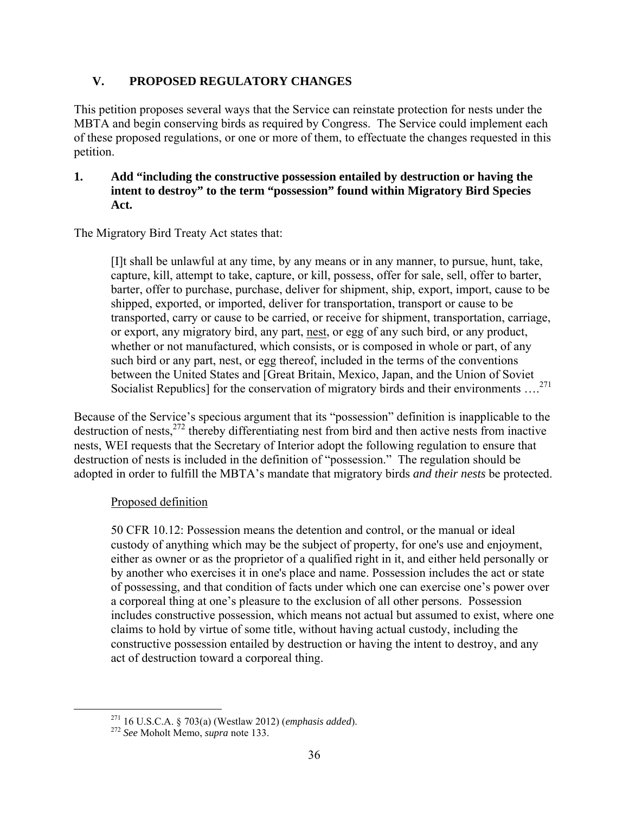# **V. PROPOSED REGULATORY CHANGES**

This petition proposes several ways that the Service can reinstate protection for nests under the MBTA and begin conserving birds as required by Congress. The Service could implement each of these proposed regulations, or one or more of them, to effectuate the changes requested in this petition.

### **1. Add "including the constructive possession entailed by destruction or having the intent to destroy" to the term "possession" found within Migratory Bird Species Act.**

The Migratory Bird Treaty Act states that:

[I]t shall be unlawful at any time, by any means or in any manner, to pursue, hunt, take, capture, kill, attempt to take, capture, or kill, possess, offer for sale, sell, offer to barter, barter, offer to purchase, purchase, deliver for shipment, ship, export, import, cause to be shipped, exported, or imported, deliver for transportation, transport or cause to be transported, carry or cause to be carried, or receive for shipment, transportation, carriage, or export, any migratory bird, any part, nest, or egg of any such bird, or any product, whether or not manufactured, which consists, or is composed in whole or part, of any such bird or any part, nest, or egg thereof, included in the terms of the conventions between the United States and [Great Britain, Mexico, Japan, and the Union of Soviet Socialist Republics] for the conservation of migratory birds and their environments ....<sup>271</sup>

Because of the Service's specious argument that its "possession" definition is inapplicable to the destruction of nests, <sup>272</sup> thereby differentiating nest from bird and then active nests from inactive nests, WEI requests that the Secretary of Interior adopt the following regulation to ensure that destruction of nests is included in the definition of "possession." The regulation should be adopted in order to fulfill the MBTA's mandate that migratory birds *and their nests* be protected.

#### Proposed definition

50 CFR 10.12: Possession means the detention and control, or the manual or ideal custody of anything which may be the subject of property, for one's use and enjoyment, either as owner or as the proprietor of a qualified right in it, and either held personally or by another who exercises it in one's place and name. Possession includes the act or state of possessing, and that condition of facts under which one can exercise one's power over a corporeal thing at one's pleasure to the exclusion of all other persons. Possession includes constructive possession, which means not actual but assumed to exist, where one claims to hold by virtue of some title, without having actual custody, including the constructive possession entailed by destruction or having the intent to destroy, and any act of destruction toward a corporeal thing.

 <sup>271</sup> 16 U.S.C.A. § 703(a) (Westlaw 2012) (*emphasis added*).

<sup>272</sup> *See* Moholt Memo, *supra* note 133.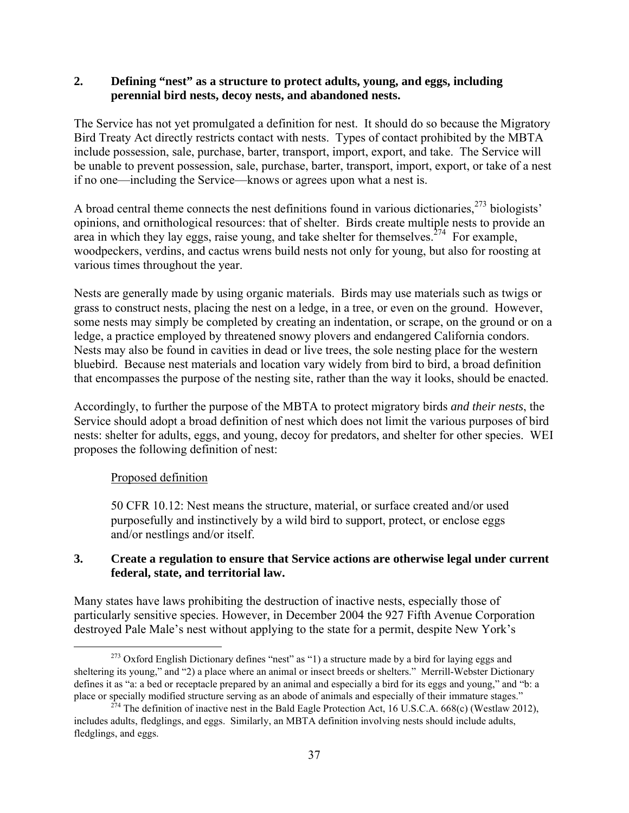### **2. Defining "nest" as a structure to protect adults, young, and eggs, including perennial bird nests, decoy nests, and abandoned nests.**

The Service has not yet promulgated a definition for nest. It should do so because the Migratory Bird Treaty Act directly restricts contact with nests. Types of contact prohibited by the MBTA include possession, sale, purchase, barter, transport, import, export, and take. The Service will be unable to prevent possession, sale, purchase, barter, transport, import, export, or take of a nest if no one—including the Service—knows or agrees upon what a nest is.

A broad central theme connects the nest definitions found in various dictionaries,  $273$  biologists' opinions, and ornithological resources: that of shelter. Birds create multiple nests to provide an area in which they lay eggs, raise young, and take shelter for themselves.<sup>274</sup> For example, woodpeckers, verdins, and cactus wrens build nests not only for young, but also for roosting at various times throughout the year.

Nests are generally made by using organic materials. Birds may use materials such as twigs or grass to construct nests, placing the nest on a ledge, in a tree, or even on the ground. However, some nests may simply be completed by creating an indentation, or scrape, on the ground or on a ledge, a practice employed by threatened snowy plovers and endangered California condors. Nests may also be found in cavities in dead or live trees, the sole nesting place for the western bluebird. Because nest materials and location vary widely from bird to bird, a broad definition that encompasses the purpose of the nesting site, rather than the way it looks, should be enacted.

Accordingly, to further the purpose of the MBTA to protect migratory birds *and their nests*, the Service should adopt a broad definition of nest which does not limit the various purposes of bird nests: shelter for adults, eggs, and young, decoy for predators, and shelter for other species. WEI proposes the following definition of nest:

# Proposed definition

50 CFR 10.12: Nest means the structure, material, or surface created and/or used purposefully and instinctively by a wild bird to support, protect, or enclose eggs and/or nestlings and/or itself.

### **3. Create a regulation to ensure that Service actions are otherwise legal under current federal, state, and territorial law.**

Many states have laws prohibiting the destruction of inactive nests, especially those of particularly sensitive species. However, in December 2004 the 927 Fifth Avenue Corporation destroyed Pale Male's nest without applying to the state for a permit, despite New York's

<sup>&</sup>lt;sup>273</sup> Oxford English Dictionary defines "nest" as "1) a structure made by a bird for laying eggs and sheltering its young," and "2) a place where an animal or insect breeds or shelters." Merrill-Webster Dictionary defines it as "a: a bed or receptacle prepared by an animal and especially a bird for its eggs and young," and "b: a place or specially modified structure serving as an abode of animals and especially of their immature stages."

<sup>&</sup>lt;sup>274</sup> The definition of inactive nest in the Bald Eagle Protection Act, 16 U.S.C.A. 668(c) (Westlaw 2012), includes adults, fledglings, and eggs. Similarly, an MBTA definition involving nests should include adults, fledglings, and eggs.